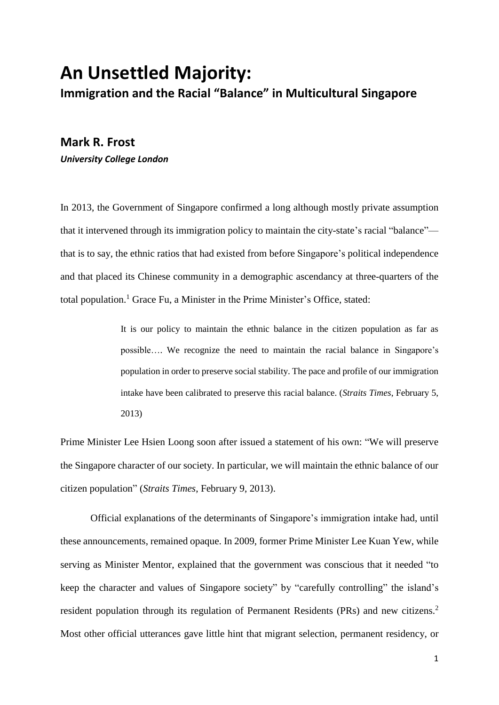# **An Unsettled Majority: Immigration and the Racial "Balance" in Multicultural Singapore**

# **Mark R. Frost** *University College London*

In 2013, the Government of Singapore confirmed a long although mostly private assumption that it intervened through its immigration policy to maintain the city-state's racial "balance" that is to say, the ethnic ratios that had existed from before Singapore's political independence and that placed its Chinese community in a demographic ascendancy at three-quarters of the total population.<sup>1</sup> Grace Fu, a Minister in the Prime Minister's Office, stated:

> It is our policy to maintain the ethnic balance in the citizen population as far as possible…. We recognize the need to maintain the racial balance in Singapore's population in order to preserve social stability. The pace and profile of our immigration intake have been calibrated to preserve this racial balance. (*Straits Times*, February 5, 2013)

Prime Minister Lee Hsien Loong soon after issued a statement of his own: "We will preserve the Singapore character of our society. In particular, we will maintain the ethnic balance of our citizen population" (*Straits Times*, February 9, 2013).

Official explanations of the determinants of Singapore's immigration intake had, until these announcements, remained opaque. In 2009, former Prime Minister Lee Kuan Yew, while serving as Minister Mentor, explained that the government was conscious that it needed "to keep the character and values of Singapore society" by "carefully controlling" the island's resident population through its regulation of Permanent Residents (PRs) and new citizens.<sup>2</sup> Most other official utterances gave little hint that migrant selection, permanent residency, or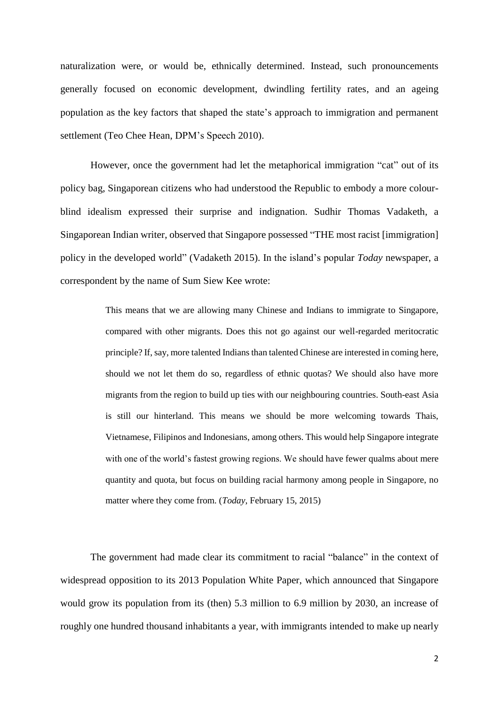naturalization were, or would be, ethnically determined. Instead, such pronouncements generally focused on economic development, dwindling fertility rates, and an ageing population as the key factors that shaped the state's approach to immigration and permanent settlement (Teo Chee Hean, DPM's Speech 2010).

However, once the government had let the metaphorical immigration "cat" out of its policy bag, Singaporean citizens who had understood the Republic to embody a more colourblind idealism expressed their surprise and indignation. Sudhir Thomas Vadaketh, a Singaporean Indian writer, observed that Singapore possessed "THE most racist [immigration] policy in the developed world" (Vadaketh 2015). In the island's popular *Today* newspaper, a correspondent by the name of Sum Siew Kee wrote:

> This means that we are allowing many Chinese and Indians to immigrate to Singapore, compared with other migrants. Does this not go against our well-regarded meritocratic principle? If, say, more talented Indians than talented Chinese are interested in coming here, should we not let them do so, regardless of ethnic quotas? We should also have more migrants from the region to build up ties with our neighbouring countries. South-east Asia is still our hinterland. This means we should be more welcoming towards Thais, Vietnamese, Filipinos and Indonesians, among others. This would help Singapore integrate with one of the world's fastest growing regions. We should have fewer qualms about mere quantity and quota, but focus on building racial harmony among people in Singapore, no matter where they come from. (*Today*, February 15, 2015)

The government had made clear its commitment to racial "balance" in the context of widespread opposition to its 2013 Population White Paper, which announced that Singapore would grow its population from its (then) 5.3 million to 6.9 million by 2030, an increase of roughly one hundred thousand inhabitants a year, with immigrants intended to make up nearly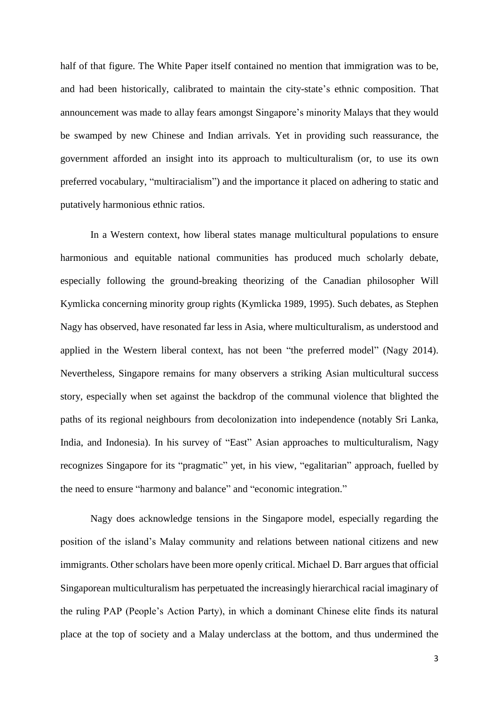half of that figure. The White Paper itself contained no mention that immigration was to be, and had been historically, calibrated to maintain the city-state's ethnic composition. That announcement was made to allay fears amongst Singapore's minority Malays that they would be swamped by new Chinese and Indian arrivals. Yet in providing such reassurance, the government afforded an insight into its approach to multiculturalism (or, to use its own preferred vocabulary, "multiracialism") and the importance it placed on adhering to static and putatively harmonious ethnic ratios.

In a Western context, how liberal states manage multicultural populations to ensure harmonious and equitable national communities has produced much scholarly debate, especially following the ground-breaking theorizing of the Canadian philosopher Will Kymlicka concerning minority group rights (Kymlicka 1989, 1995). Such debates, as Stephen Nagy has observed, have resonated far less in Asia, where multiculturalism, as understood and applied in the Western liberal context, has not been "the preferred model" (Nagy 2014). Nevertheless, Singapore remains for many observers a striking Asian multicultural success story, especially when set against the backdrop of the communal violence that blighted the paths of its regional neighbours from decolonization into independence (notably Sri Lanka, India, and Indonesia). In his survey of "East" Asian approaches to multiculturalism, Nagy recognizes Singapore for its "pragmatic" yet, in his view, "egalitarian" approach, fuelled by the need to ensure "harmony and balance" and "economic integration."

Nagy does acknowledge tensions in the Singapore model, especially regarding the position of the island's Malay community and relations between national citizens and new immigrants. Other scholars have been more openly critical. Michael D. Barr argues that official Singaporean multiculturalism has perpetuated the increasingly hierarchical racial imaginary of the ruling PAP (People's Action Party), in which a dominant Chinese elite finds its natural place at the top of society and a Malay underclass at the bottom, and thus undermined the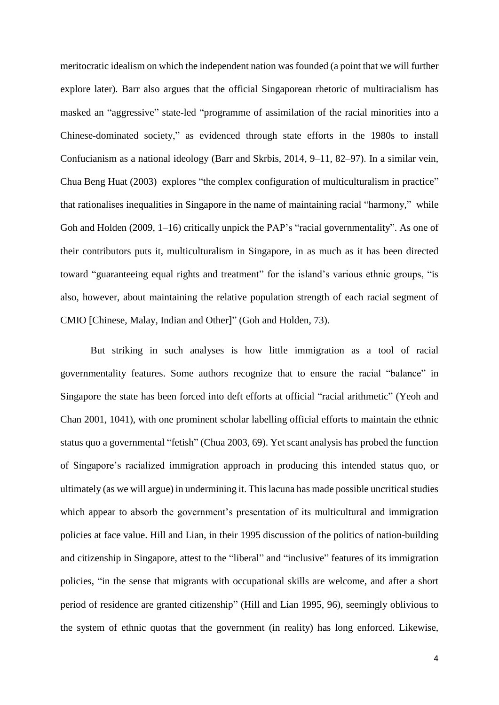meritocratic idealism on which the independent nation was founded (a point that we will further explore later). Barr also argues that the official Singaporean rhetoric of multiracialism has masked an "aggressive" state-led "programme of assimilation of the racial minorities into a Chinese-dominated society," as evidenced through state efforts in the 1980s to install Confucianism as a national ideology (Barr and Skrbis, 2014, 9–11, 82–97). In a similar vein, Chua Beng Huat (2003) explores "the complex configuration of multiculturalism in practice" that rationalises inequalities in Singapore in the name of maintaining racial "harmony," while Goh and Holden (2009, 1–16) critically unpick the PAP's "racial governmentality". As one of their contributors puts it, multiculturalism in Singapore, in as much as it has been directed toward "guaranteeing equal rights and treatment" for the island's various ethnic groups, "is also, however, about maintaining the relative population strength of each racial segment of CMIO [Chinese, Malay, Indian and Other]" (Goh and Holden, 73).

But striking in such analyses is how little immigration as a tool of racial governmentality features. Some authors recognize that to ensure the racial "balance" in Singapore the state has been forced into deft efforts at official "racial arithmetic" (Yeoh and Chan 2001, 1041), with one prominent scholar labelling official efforts to maintain the ethnic status quo a governmental "fetish" (Chua 2003, 69). Yet scant analysis has probed the function of Singapore's racialized immigration approach in producing this intended status quo, or ultimately (as we will argue) in undermining it. This lacuna has made possible uncritical studies which appear to absorb the government's presentation of its multicultural and immigration policies at face value. Hill and Lian, in their 1995 discussion of the politics of nation-building and citizenship in Singapore, attest to the "liberal" and "inclusive" features of its immigration policies, "in the sense that migrants with occupational skills are welcome, and after a short period of residence are granted citizenship" (Hill and Lian 1995, 96), seemingly oblivious to the system of ethnic quotas that the government (in reality) has long enforced. Likewise,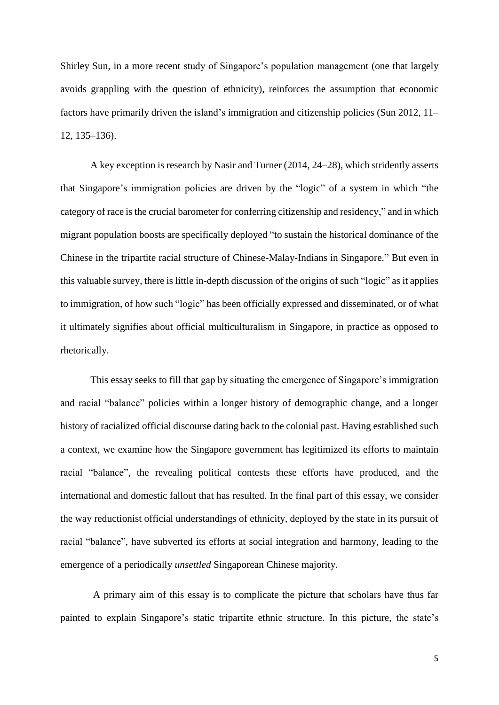Shirley Sun, in a more recent study of Singapore's population management (one that largely avoids grappling with the question of ethnicity), reinforces the assumption that economic factors have primarily driven the island's immigration and citizenship policies (Sun 2012, 11– 12, 135–136).

A key exception is research by Nasir and Turner (2014, 24–28), which stridently asserts that Singapore's immigration policies are driven by the "logic" of a system in which "the category of race is the crucial barometer for conferring citizenship and residency," and in which migrant population boosts are specifically deployed "to sustain the historical dominance of the Chinese in the tripartite racial structure of Chinese-Malay-Indians in Singapore." But even in this valuable survey, there is little in-depth discussion of the origins of such "logic" as it applies to immigration, of how such "logic" has been officially expressed and disseminated, or of what it ultimately signifies about official multiculturalism in Singapore, in practice as opposed to rhetorically.

This essay seeks to fill that gap by situating the emergence of Singapore's immigration and racial "balance" policies within a longer history of demographic change, and a longer history of racialized official discourse dating back to the colonial past. Having established such a context, we examine how the Singapore government has legitimized its efforts to maintain racial "balance", the revealing political contests these efforts have produced, and the international and domestic fallout that has resulted. In the final part of this essay, we consider the way reductionist official understandings of ethnicity, deployed by the state in its pursuit of racial "balance", have subverted its efforts at social integration and harmony, leading to the emergence of a periodically *unsettled* Singaporean Chinese majority.

A primary aim of this essay is to complicate the picture that scholars have thus far painted to explain Singapore's static tripartite ethnic structure. In this picture, the state's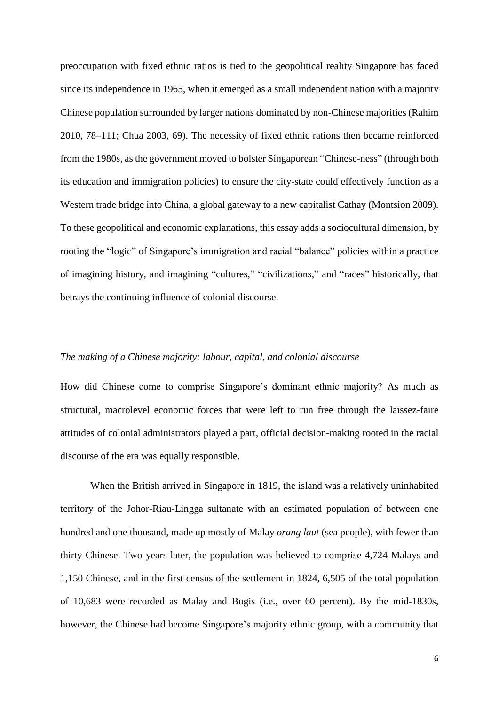preoccupation with fixed ethnic ratios is tied to the geopolitical reality Singapore has faced since its independence in 1965, when it emerged as a small independent nation with a majority Chinese population surrounded by larger nations dominated by non-Chinese majorities (Rahim 2010, 78–111; Chua 2003, 69). The necessity of fixed ethnic rations then became reinforced from the 1980s, as the government moved to bolster Singaporean "Chinese-ness" (through both its education and immigration policies) to ensure the city-state could effectively function as a Western trade bridge into China, a global gateway to a new capitalist Cathay (Montsion 2009). To these geopolitical and economic explanations, this essay adds a sociocultural dimension, by rooting the "logic" of Singapore's immigration and racial "balance" policies within a practice of imagining history, and imagining "cultures," "civilizations," and "races" historically, that betrays the continuing influence of colonial discourse.

### *The making of a Chinese majority: labour, capital, and colonial discourse*

How did Chinese come to comprise Singapore's dominant ethnic majority? As much as structural, macrolevel economic forces that were left to run free through the laissez-faire attitudes of colonial administrators played a part, official decision-making rooted in the racial discourse of the era was equally responsible.

When the British arrived in Singapore in 1819, the island was a relatively uninhabited territory of the Johor-Riau-Lingga sultanate with an estimated population of between one hundred and one thousand, made up mostly of Malay *orang laut* (sea people), with fewer than thirty Chinese. Two years later, the population was believed to comprise 4,724 Malays and 1,150 Chinese, and in the first census of the settlement in 1824, 6,505 of the total population of 10,683 were recorded as Malay and Bugis (i.e., over 60 percent). By the mid-1830s, however, the Chinese had become Singapore's majority ethnic group, with a community that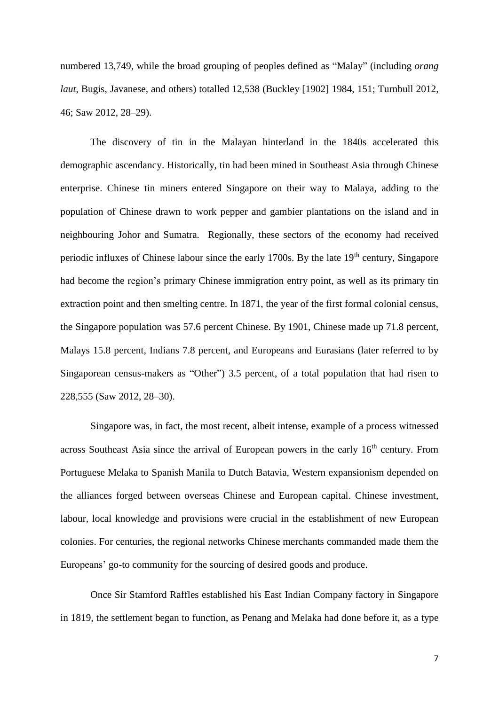numbered 13,749, while the broad grouping of peoples defined as "Malay" (including *orang laut*, Bugis, Javanese, and others) totalled 12,538 (Buckley [1902] 1984, 151; Turnbull 2012, 46; Saw 2012, 28–29).

The discovery of tin in the Malayan hinterland in the 1840s accelerated this demographic ascendancy. Historically, tin had been mined in Southeast Asia through Chinese enterprise. Chinese tin miners entered Singapore on their way to Malaya, adding to the population of Chinese drawn to work pepper and gambier plantations on the island and in neighbouring Johor and Sumatra. Regionally, these sectors of the economy had received periodic influxes of Chinese labour since the early 1700s. By the late 19<sup>th</sup> century, Singapore had become the region's primary Chinese immigration entry point, as well as its primary tin extraction point and then smelting centre. In 1871, the year of the first formal colonial census, the Singapore population was 57.6 percent Chinese. By 1901, Chinese made up 71.8 percent, Malays 15.8 percent, Indians 7.8 percent, and Europeans and Eurasians (later referred to by Singaporean census-makers as "Other") 3.5 percent, of a total population that had risen to 228,555 (Saw 2012, 28–30).

Singapore was, in fact, the most recent, albeit intense, example of a process witnessed across Southeast Asia since the arrival of European powers in the early 16<sup>th</sup> century. From Portuguese Melaka to Spanish Manila to Dutch Batavia, Western expansionism depended on the alliances forged between overseas Chinese and European capital. Chinese investment, labour, local knowledge and provisions were crucial in the establishment of new European colonies. For centuries, the regional networks Chinese merchants commanded made them the Europeans' go-to community for the sourcing of desired goods and produce.

Once Sir Stamford Raffles established his East Indian Company factory in Singapore in 1819, the settlement began to function, as Penang and Melaka had done before it, as a type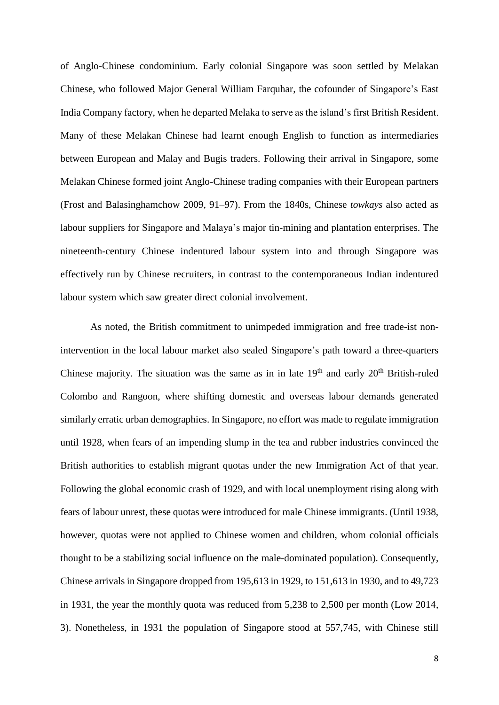of Anglo-Chinese condominium. Early colonial Singapore was soon settled by Melakan Chinese, who followed Major General William Farquhar, the cofounder of Singapore's East India Company factory, when he departed Melaka to serve as the island's first British Resident. Many of these Melakan Chinese had learnt enough English to function as intermediaries between European and Malay and Bugis traders. Following their arrival in Singapore, some Melakan Chinese formed joint Anglo-Chinese trading companies with their European partners (Frost and Balasinghamchow 2009, 91–97). From the 1840s, Chinese *towkays* also acted as labour suppliers for Singapore and Malaya's major tin-mining and plantation enterprises. The nineteenth-century Chinese indentured labour system into and through Singapore was effectively run by Chinese recruiters, in contrast to the contemporaneous Indian indentured labour system which saw greater direct colonial involvement.

As noted, the British commitment to unimpeded immigration and free trade-ist nonintervention in the local labour market also sealed Singapore's path toward a three-quarters Chinese majority. The situation was the same as in in late  $19<sup>th</sup>$  and early  $20<sup>th</sup>$  British-ruled Colombo and Rangoon, where shifting domestic and overseas labour demands generated similarly erratic urban demographies. In Singapore, no effort was made to regulate immigration until 1928, when fears of an impending slump in the tea and rubber industries convinced the British authorities to establish migrant quotas under the new Immigration Act of that year. Following the global economic crash of 1929, and with local unemployment rising along with fears of labour unrest, these quotas were introduced for male Chinese immigrants. (Until 1938, however, quotas were not applied to Chinese women and children, whom colonial officials thought to be a stabilizing social influence on the male-dominated population). Consequently, Chinese arrivals in Singapore dropped from 195,613 in 1929, to 151,613 in 1930, and to 49,723 in 1931, the year the monthly quota was reduced from 5,238 to 2,500 per month (Low 2014, 3). Nonetheless, in 1931 the population of Singapore stood at 557,745, with Chinese still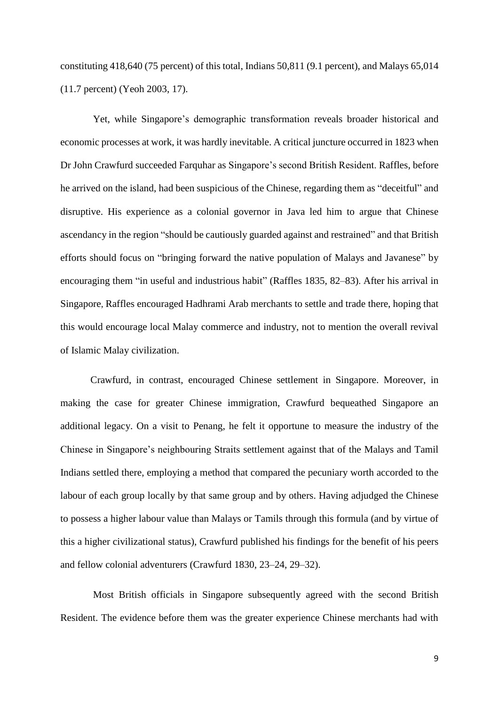constituting 418,640 (75 percent) of this total, Indians 50,811 (9.1 percent), and Malays 65,014 (11.7 percent) (Yeoh 2003, 17).

Yet, while Singapore's demographic transformation reveals broader historical and economic processes at work, it was hardly inevitable. A critical juncture occurred in 1823 when Dr John Crawfurd succeeded Farquhar as Singapore's second British Resident. Raffles, before he arrived on the island, had been suspicious of the Chinese, regarding them as "deceitful" and disruptive. His experience as a colonial governor in Java led him to argue that Chinese ascendancy in the region "should be cautiously guarded against and restrained" and that British efforts should focus on "bringing forward the native population of Malays and Javanese" by encouraging them "in useful and industrious habit" (Raffles 1835, 82–83). After his arrival in Singapore, Raffles encouraged Hadhrami Arab merchants to settle and trade there, hoping that this would encourage local Malay commerce and industry, not to mention the overall revival of Islamic Malay civilization.

Crawfurd, in contrast, encouraged Chinese settlement in Singapore. Moreover, in making the case for greater Chinese immigration, Crawfurd bequeathed Singapore an additional legacy. On a visit to Penang, he felt it opportune to measure the industry of the Chinese in Singapore's neighbouring Straits settlement against that of the Malays and Tamil Indians settled there, employing a method that compared the pecuniary worth accorded to the labour of each group locally by that same group and by others. Having adjudged the Chinese to possess a higher labour value than Malays or Tamils through this formula (and by virtue of this a higher civilizational status), Crawfurd published his findings for the benefit of his peers and fellow colonial adventurers (Crawfurd 1830, 23–24, 29–32).

Most British officials in Singapore subsequently agreed with the second British Resident. The evidence before them was the greater experience Chinese merchants had with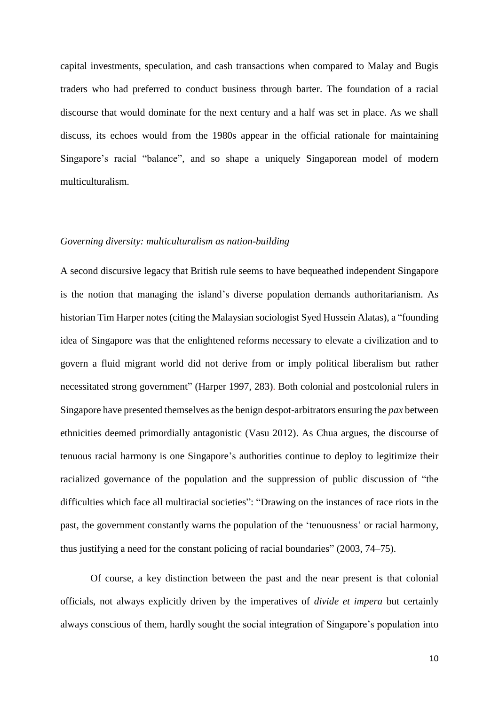capital investments, speculation, and cash transactions when compared to Malay and Bugis traders who had preferred to conduct business through barter. The foundation of a racial discourse that would dominate for the next century and a half was set in place. As we shall discuss, its echoes would from the 1980s appear in the official rationale for maintaining Singapore's racial "balance", and so shape a uniquely Singaporean model of modern multiculturalism.

#### *Governing diversity: multiculturalism as nation-building*

A second discursive legacy that British rule seems to have bequeathed independent Singapore is the notion that managing the island's diverse population demands authoritarianism. As historian Tim Harper notes (citing the Malaysian sociologist Syed Hussein Alatas), a "founding idea of Singapore was that the enlightened reforms necessary to elevate a civilization and to govern a fluid migrant world did not derive from or imply political liberalism but rather necessitated strong government" (Harper 1997, 283). Both colonial and postcolonial rulers in Singapore have presented themselves as the benign despot-arbitrators ensuring the *pax* between ethnicities deemed primordially antagonistic (Vasu 2012). As Chua argues, the discourse of tenuous racial harmony is one Singapore's authorities continue to deploy to legitimize their racialized governance of the population and the suppression of public discussion of "the difficulties which face all multiracial societies": "Drawing on the instances of race riots in the past, the government constantly warns the population of the 'tenuousness' or racial harmony, thus justifying a need for the constant policing of racial boundaries" (2003, 74–75).

Of course, a key distinction between the past and the near present is that colonial officials, not always explicitly driven by the imperatives of *divide et impera* but certainly always conscious of them, hardly sought the social integration of Singapore's population into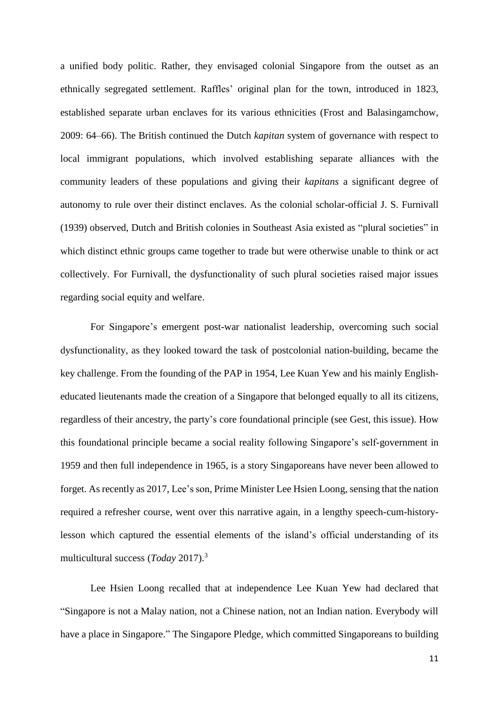a unified body politic. Rather, they envisaged colonial Singapore from the outset as an ethnically segregated settlement. Raffles' original plan for the town, introduced in 1823, established separate urban enclaves for its various ethnicities (Frost and Balasingamchow, 2009: 64–66). The British continued the Dutch *kapitan* system of governance with respect to local immigrant populations, which involved establishing separate alliances with the community leaders of these populations and giving their *kapitans* a significant degree of autonomy to rule over their distinct enclaves. As the colonial scholar-official J. S. Furnivall (1939) observed, Dutch and British colonies in Southeast Asia existed as "plural societies" in which distinct ethnic groups came together to trade but were otherwise unable to think or act collectively. For Furnivall, the dysfunctionality of such plural societies raised major issues regarding social equity and welfare.

For Singapore's emergent post-war nationalist leadership, overcoming such social dysfunctionality, as they looked toward the task of postcolonial nation-building, became the key challenge. From the founding of the PAP in 1954, Lee Kuan Yew and his mainly Englisheducated lieutenants made the creation of a Singapore that belonged equally to all its citizens, regardless of their ancestry, the party's core foundational principle (see Gest, this issue). How this foundational principle became a social reality following Singapore's self-government in 1959 and then full independence in 1965, is a story Singaporeans have never been allowed to forget. As recently as 2017, Lee's son, Prime Minister Lee Hsien Loong, sensing that the nation required a refresher course, went over this narrative again, in a lengthy speech-cum-historylesson which captured the essential elements of the island's official understanding of its multicultural success (*Today* 2017). 3

Lee Hsien Loong recalled that at independence Lee Kuan Yew had declared that "Singapore is not a Malay nation, not a Chinese nation, not an Indian nation. Everybody will have a place in Singapore." The Singapore Pledge, which committed Singaporeans to building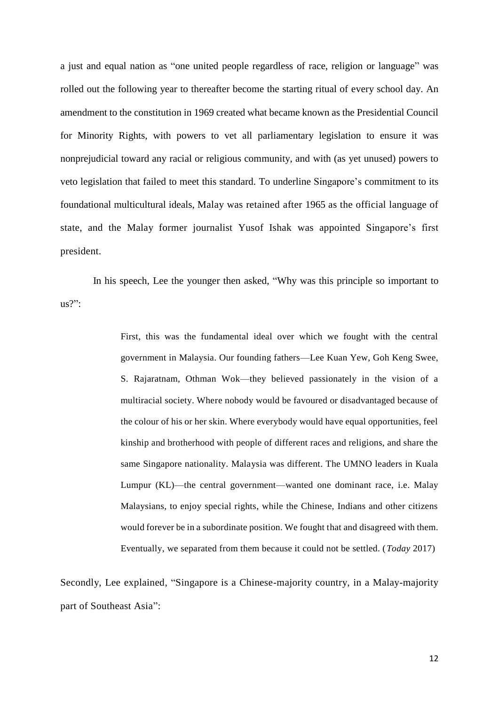a just and equal nation as "one united people regardless of race, religion or language" was rolled out the following year to thereafter become the starting ritual of every school day. An amendment to the constitution in 1969 created what became known as the Presidential Council for Minority Rights, with powers to vet all parliamentary legislation to ensure it was nonprejudicial toward any racial or religious community, and with (as yet unused) powers to veto legislation that failed to meet this standard. To underline Singapore's commitment to its foundational multicultural ideals, Malay was retained after 1965 as the official language of state, and the Malay former journalist Yusof Ishak was appointed Singapore's first president.

In his speech, Lee the younger then asked, "Why was this principle so important to  $us?$ ":

> First, this was the fundamental ideal over which we fought with the central government in Malaysia. Our founding fathers—Lee Kuan Yew, Goh Keng Swee, S. Rajaratnam, Othman Wok—they believed passionately in the vision of a multiracial society. Where nobody would be favoured or disadvantaged because of the colour of his or her skin. Where everybody would have equal opportunities, feel kinship and brotherhood with people of different races and religions, and share the same Singapore nationality. Malaysia was different. The UMNO leaders in Kuala Lumpur (KL)—the central government—wanted one dominant race, i.e. Malay Malaysians, to enjoy special rights, while the Chinese, Indians and other citizens would forever be in a subordinate position. We fought that and disagreed with them. Eventually, we separated from them because it could not be settled. (*Today* 2017)

Secondly, Lee explained, "Singapore is a Chinese-majority country, in a Malay-majority part of Southeast Asia":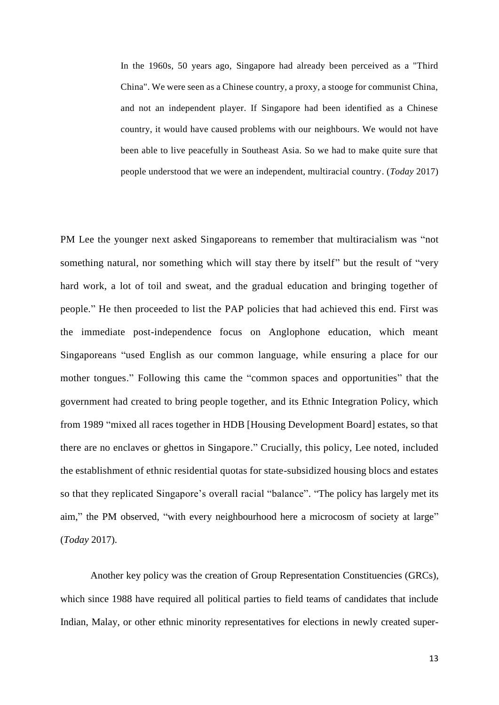In the 1960s, 50 years ago, Singapore had already been perceived as a "Third China". We were seen as a Chinese country, a proxy, a stooge for communist China, and not an independent player. If Singapore had been identified as a Chinese country, it would have caused problems with our neighbours. We would not have been able to live peacefully in Southeast Asia. So we had to make quite sure that people understood that we were an independent, multiracial country. (*Today* 2017)

PM Lee the younger next asked Singaporeans to remember that multiracialism was "not something natural, nor something which will stay there by itself" but the result of "very hard work, a lot of toil and sweat, and the gradual education and bringing together of people." He then proceeded to list the PAP policies that had achieved this end. First was the immediate post-independence focus on Anglophone education, which meant Singaporeans "used English as our common language, while ensuring a place for our mother tongues." Following this came the "common spaces and opportunities" that the government had created to bring people together, and its Ethnic Integration Policy, which from 1989 "mixed all races together in HDB [Housing Development Board] estates, so that there are no enclaves or ghettos in Singapore." Crucially, this policy, Lee noted, included the establishment of ethnic residential quotas for state-subsidized housing blocs and estates so that they replicated Singapore's overall racial "balance". "The policy has largely met its aim," the PM observed, "with every neighbourhood here a microcosm of society at large" (*Today* 2017).

Another key policy was the creation of Group Representation Constituencies (GRCs), which since 1988 have required all political parties to field teams of candidates that include Indian, Malay, or other ethnic minority representatives for elections in newly created super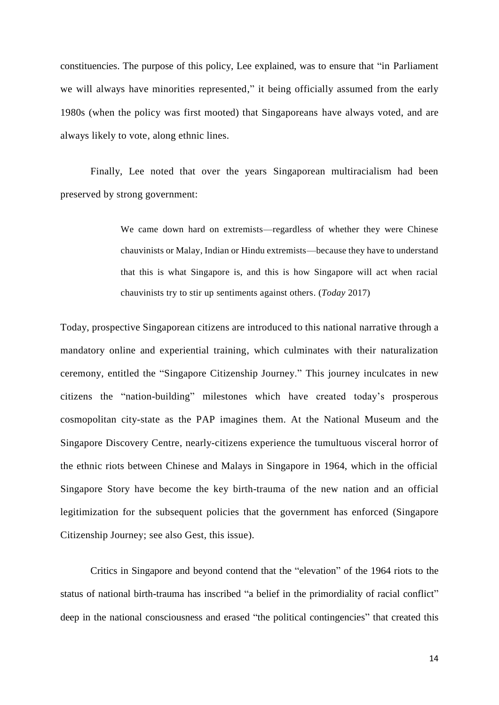constituencies. The purpose of this policy, Lee explained, was to ensure that "in Parliament we will always have minorities represented," it being officially assumed from the early 1980s (when the policy was first mooted) that Singaporeans have always voted, and are always likely to vote, along ethnic lines.

Finally, Lee noted that over the years Singaporean multiracialism had been preserved by strong government:

> We came down hard on extremists—regardless of whether they were Chinese chauvinists or Malay, Indian or Hindu extremists—because they have to understand that this is what Singapore is, and this is how Singapore will act when racial chauvinists try to stir up sentiments against others. (*Today* 2017)

Today, prospective Singaporean citizens are introduced to this national narrative through a mandatory online and experiential training, which culminates with their naturalization ceremony, entitled the "Singapore Citizenship Journey." This journey inculcates in new citizens the "nation-building" milestones which have created today's prosperous cosmopolitan city-state as the PAP imagines them. At the National Museum and the Singapore Discovery Centre, nearly-citizens experience the tumultuous visceral horror of the ethnic riots between Chinese and Malays in Singapore in 1964, which in the official Singapore Story have become the key birth-trauma of the new nation and an official legitimization for the subsequent policies that the government has enforced (Singapore Citizenship Journey; see also Gest, this issue).

Critics in Singapore and beyond contend that the "elevation" of the 1964 riots to the status of national birth-trauma has inscribed "a belief in the primordiality of racial conflict" deep in the national consciousness and erased "the political contingencies" that created this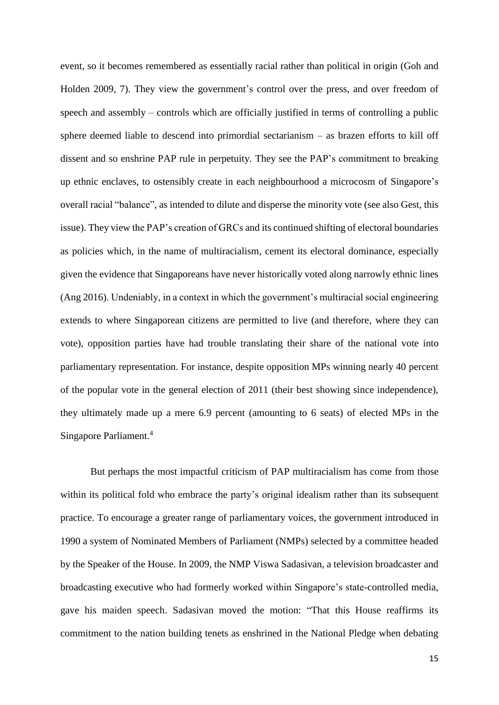event, so it becomes remembered as essentially racial rather than political in origin (Goh and Holden 2009, 7). They view the government's control over the press, and over freedom of speech and assembly – controls which are officially justified in terms of controlling a public sphere deemed liable to descend into primordial sectarianism – as brazen efforts to kill off dissent and so enshrine PAP rule in perpetuity. They see the PAP's commitment to breaking up ethnic enclaves, to ostensibly create in each neighbourhood a microcosm of Singapore's overall racial "balance", as intended to dilute and disperse the minority vote (see also Gest, this issue). They view the PAP's creation of GRCs and its continued shifting of electoral boundaries as policies which, in the name of multiracialism, cement its electoral dominance, especially given the evidence that Singaporeans have never historically voted along narrowly ethnic lines (Ang 2016). Undeniably, in a context in which the government's multiracial social engineering extends to where Singaporean citizens are permitted to live (and therefore, where they can vote), opposition parties have had trouble translating their share of the national vote into parliamentary representation. For instance, despite opposition MPs winning nearly 40 percent of the popular vote in the general election of 2011 (their best showing since independence), they ultimately made up a mere 6.9 percent (amounting to 6 seats) of elected MPs in the Singapore Parliament. 4

But perhaps the most impactful criticism of PAP multiracialism has come from those within its political fold who embrace the party's original idealism rather than its subsequent practice. To encourage a greater range of parliamentary voices, the government introduced in 1990 a system of Nominated Members of Parliament (NMPs) selected by a committee headed by the Speaker of the House. In 2009, the NMP Viswa Sadasivan, a television broadcaster and broadcasting executive who had formerly worked within Singapore's state-controlled media, gave his maiden speech. Sadasivan moved the motion: "That this House reaffirms its commitment to the nation building tenets as enshrined in the National Pledge when debating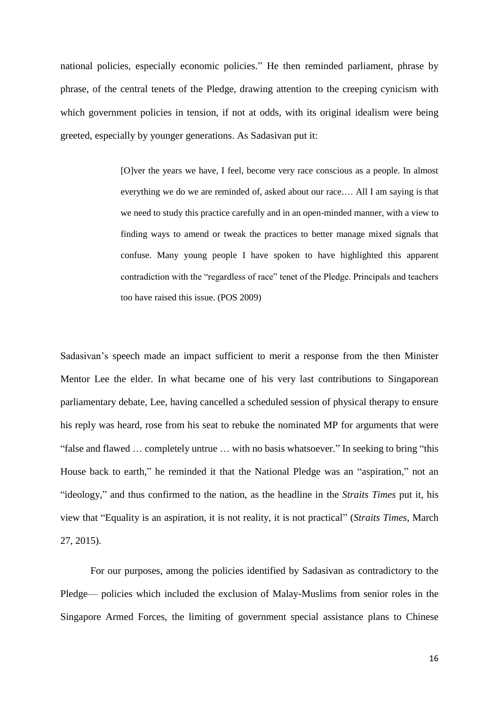national policies, especially economic policies." He then reminded parliament, phrase by phrase, of the central tenets of the Pledge, drawing attention to the creeping cynicism with which government policies in tension, if not at odds, with its original idealism were being greeted, especially by younger generations. As Sadasivan put it:

> [O]ver the years we have, I feel, become very race conscious as a people. In almost everything we do we are reminded of, asked about our race.… All I am saying is that we need to study this practice carefully and in an open-minded manner, with a view to finding ways to amend or tweak the practices to better manage mixed signals that confuse. Many young people I have spoken to have highlighted this apparent contradiction with the "regardless of race" tenet of the Pledge. Principals and teachers too have raised this issue. (POS 2009)

Sadasivan's speech made an impact sufficient to merit a response from the then Minister Mentor Lee the elder. In what became one of his very last contributions to Singaporean parliamentary debate, Lee, having cancelled a scheduled session of physical therapy to ensure his reply was heard, rose from his seat to rebuke the nominated MP for arguments that were "false and flawed … completely untrue … with no basis whatsoever." In seeking to bring "this House back to earth," he reminded it that the National Pledge was an "aspiration," not an "ideology," and thus confirmed to the nation, as the headline in the *Straits Times* put it, his view that "Equality is an aspiration, it is not reality, it is not practical" (*Straits Times*, March 27, 2015).

For our purposes, among the policies identified by Sadasivan as contradictory to the Pledge— policies which included the exclusion of Malay-Muslims from senior roles in the Singapore Armed Forces, the limiting of government special assistance plans to Chinese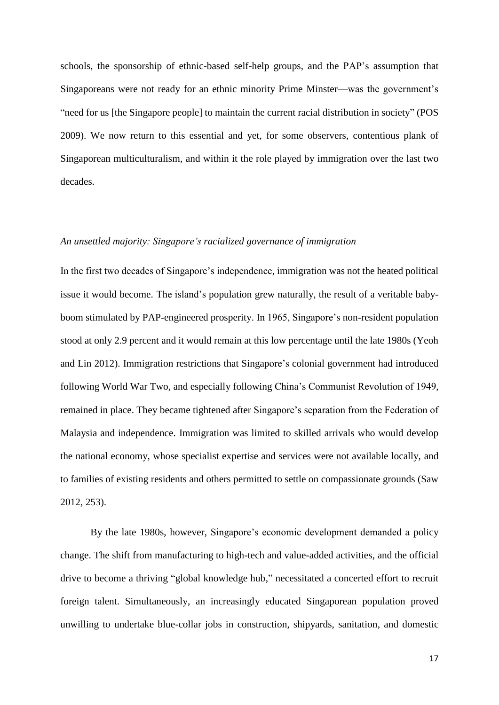schools, the sponsorship of ethnic-based self-help groups, and the PAP's assumption that Singaporeans were not ready for an ethnic minority Prime Minster—was the government's "need for us [the Singapore people] to maintain the current racial distribution in society" (POS 2009). We now return to this essential and yet, for some observers, contentious plank of Singaporean multiculturalism, and within it the role played by immigration over the last two decades.

#### *An unsettled majority: Singapore's racialized governance of immigration*

In the first two decades of Singapore's independence, immigration was not the heated political issue it would become. The island's population grew naturally, the result of a veritable babyboom stimulated by PAP-engineered prosperity. In 1965, Singapore's non-resident population stood at only 2.9 percent and it would remain at this low percentage until the late 1980s (Yeoh and Lin 2012). Immigration restrictions that Singapore's colonial government had introduced following World War Two, and especially following China's Communist Revolution of 1949, remained in place. They became tightened after Singapore's separation from the Federation of Malaysia and independence. Immigration was limited to skilled arrivals who would develop the national economy, whose specialist expertise and services were not available locally, and to families of existing residents and others permitted to settle on compassionate grounds (Saw 2012, 253).

By the late 1980s, however, Singapore's economic development demanded a policy change. The shift from manufacturing to high-tech and value-added activities, and the official drive to become a thriving "global knowledge hub," necessitated a concerted effort to recruit foreign talent. Simultaneously, an increasingly educated Singaporean population proved unwilling to undertake blue-collar jobs in construction, shipyards, sanitation, and domestic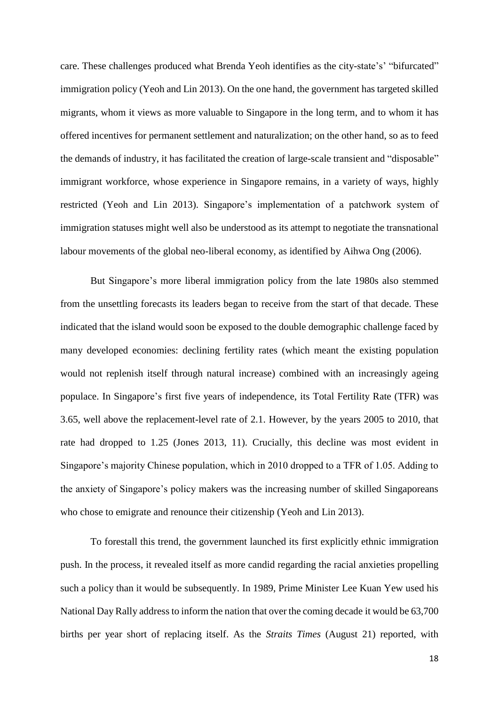care. These challenges produced what Brenda Yeoh identifies as the city-state's' "bifurcated" immigration policy (Yeoh and Lin 2013). On the one hand, the government has targeted skilled migrants, whom it views as more valuable to Singapore in the long term, and to whom it has offered incentives for permanent settlement and naturalization; on the other hand, so as to feed the demands of industry, it has facilitated the creation of large-scale transient and "disposable" immigrant workforce, whose experience in Singapore remains, in a variety of ways, highly restricted (Yeoh and Lin 2013). Singapore's implementation of a patchwork system of immigration statuses might well also be understood as its attempt to negotiate the transnational labour movements of the global neo-liberal economy, as identified by Aihwa Ong (2006).

But Singapore's more liberal immigration policy from the late 1980s also stemmed from the unsettling forecasts its leaders began to receive from the start of that decade. These indicated that the island would soon be exposed to the double demographic challenge faced by many developed economies: declining fertility rates (which meant the existing population would not replenish itself through natural increase) combined with an increasingly ageing populace. In Singapore's first five years of independence, its Total Fertility Rate (TFR) was 3.65, well above the replacement-level rate of 2.1. However, by the years 2005 to 2010, that rate had dropped to 1.25 (Jones 2013, 11). Crucially, this decline was most evident in Singapore's majority Chinese population, which in 2010 dropped to a TFR of 1.05. Adding to the anxiety of Singapore's policy makers was the increasing number of skilled Singaporeans who chose to emigrate and renounce their citizenship (Yeoh and Lin 2013).

To forestall this trend, the government launched its first explicitly ethnic immigration push. In the process, it revealed itself as more candid regarding the racial anxieties propelling such a policy than it would be subsequently. In 1989, Prime Minister Lee Kuan Yew used his National Day Rally address to inform the nation that over the coming decade it would be 63,700 births per year short of replacing itself. As the *Straits Times* (August 21) reported, with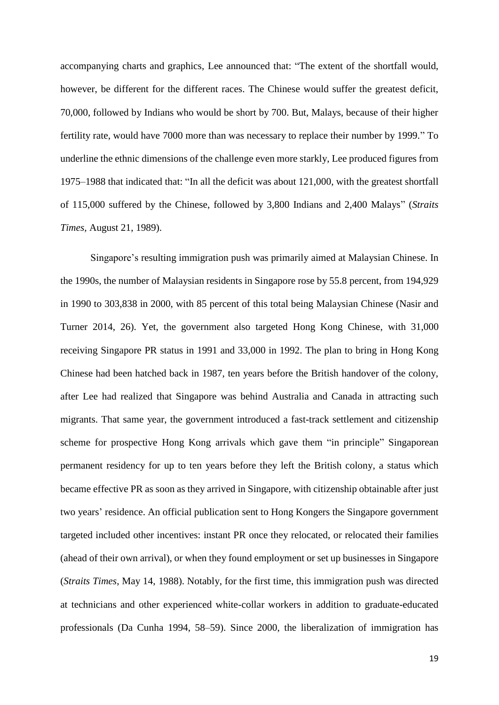accompanying charts and graphics, Lee announced that: "The extent of the shortfall would, however, be different for the different races. The Chinese would suffer the greatest deficit, 70,000, followed by Indians who would be short by 700. But, Malays, because of their higher fertility rate, would have 7000 more than was necessary to replace their number by 1999." To underline the ethnic dimensions of the challenge even more starkly, Lee produced figures from 1975–1988 that indicated that: "In all the deficit was about 121,000, with the greatest shortfall of 115,000 suffered by the Chinese, followed by 3,800 Indians and 2,400 Malays" (*Straits Times,* August 21, 1989).

Singapore's resulting immigration push was primarily aimed at Malaysian Chinese. In the 1990s, the number of Malaysian residents in Singapore rose by 55.8 percent, from 194,929 in 1990 to 303,838 in 2000, with 85 percent of this total being Malaysian Chinese (Nasir and Turner 2014, 26). Yet, the government also targeted Hong Kong Chinese, with 31,000 receiving Singapore PR status in 1991 and 33,000 in 1992. The plan to bring in Hong Kong Chinese had been hatched back in 1987, ten years before the British handover of the colony, after Lee had realized that Singapore was behind Australia and Canada in attracting such migrants. That same year, the government introduced a fast-track settlement and citizenship scheme for prospective Hong Kong arrivals which gave them "in principle" Singaporean permanent residency for up to ten years before they left the British colony, a status which became effective PR as soon as they arrived in Singapore, with citizenship obtainable after just two years' residence. An official publication sent to Hong Kongers the Singapore government targeted included other incentives: instant PR once they relocated, or relocated their families (ahead of their own arrival), or when they found employment or set up businesses in Singapore (*Straits Times*, May 14, 1988). Notably, for the first time, this immigration push was directed at technicians and other experienced white-collar workers in addition to graduate-educated professionals (Da Cunha 1994, 58–59). Since 2000, the liberalization of immigration has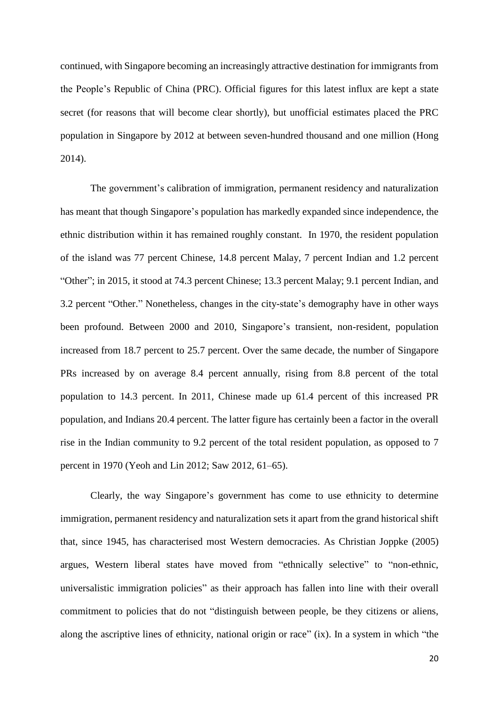continued, with Singapore becoming an increasingly attractive destination for immigrants from the People's Republic of China (PRC). Official figures for this latest influx are kept a state secret (for reasons that will become clear shortly), but unofficial estimates placed the PRC population in Singapore by 2012 at between seven-hundred thousand and one million (Hong 2014).

The government's calibration of immigration, permanent residency and naturalization has meant that though Singapore's population has markedly expanded since independence, the ethnic distribution within it has remained roughly constant. In 1970, the resident population of the island was 77 percent Chinese, 14.8 percent Malay, 7 percent Indian and 1.2 percent "Other"; in 2015, it stood at 74.3 percent Chinese; 13.3 percent Malay; 9.1 percent Indian, and 3.2 percent "Other." Nonetheless, changes in the city-state's demography have in other ways been profound. Between 2000 and 2010, Singapore's transient, non-resident, population increased from 18.7 percent to 25.7 percent. Over the same decade, the number of Singapore PRs increased by on average 8.4 percent annually, rising from 8.8 percent of the total population to 14.3 percent. In 2011, Chinese made up 61.4 percent of this increased PR population, and Indians 20.4 percent. The latter figure has certainly been a factor in the overall rise in the Indian community to 9.2 percent of the total resident population, as opposed to 7 percent in 1970 (Yeoh and Lin 2012; Saw 2012, 61–65).

Clearly, the way Singapore's government has come to use ethnicity to determine immigration, permanent residency and naturalization sets it apart from the grand historical shift that, since 1945, has characterised most Western democracies. As Christian Joppke (2005) argues, Western liberal states have moved from "ethnically selective" to "non-ethnic, universalistic immigration policies" as their approach has fallen into line with their overall commitment to policies that do not "distinguish between people, be they citizens or aliens, along the ascriptive lines of ethnicity, national origin or race" (ix). In a system in which "the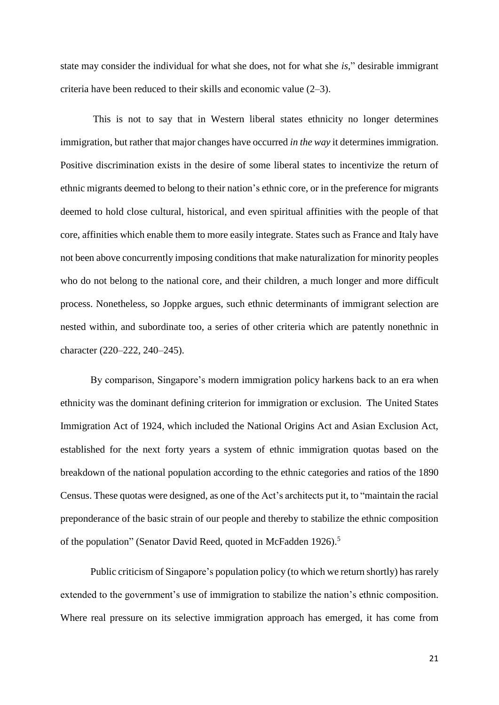state may consider the individual for what she does, not for what she *is*," desirable immigrant criteria have been reduced to their skills and economic value (2–3).

 This is not to say that in Western liberal states ethnicity no longer determines immigration, but rather that major changes have occurred *in the way* it determines immigration. Positive discrimination exists in the desire of some liberal states to incentivize the return of ethnic migrants deemed to belong to their nation's ethnic core, or in the preference for migrants deemed to hold close cultural, historical, and even spiritual affinities with the people of that core, affinities which enable them to more easily integrate. States such as France and Italy have not been above concurrently imposing conditions that make naturalization for minority peoples who do not belong to the national core, and their children, a much longer and more difficult process. Nonetheless, so Joppke argues, such ethnic determinants of immigrant selection are nested within, and subordinate too, a series of other criteria which are patently nonethnic in character (220–222, 240–245).

By comparison, Singapore's modern immigration policy harkens back to an era when ethnicity was the dominant defining criterion for immigration or exclusion. The United States Immigration Act of 1924, which included the National Origins Act and Asian Exclusion Act, established for the next forty years a system of ethnic immigration quotas based on the breakdown of the national population according to the ethnic categories and ratios of the 1890 Census. These quotas were designed, as one of the Act's architects put it, to "maintain the racial preponderance of the basic strain of our people and thereby to stabilize the ethnic composition of the population" (Senator David Reed, quoted in McFadden 1926).<sup>5</sup>

Public criticism of Singapore's population policy (to which we return shortly) has rarely extended to the government's use of immigration to stabilize the nation's ethnic composition. Where real pressure on its selective immigration approach has emerged, it has come from

21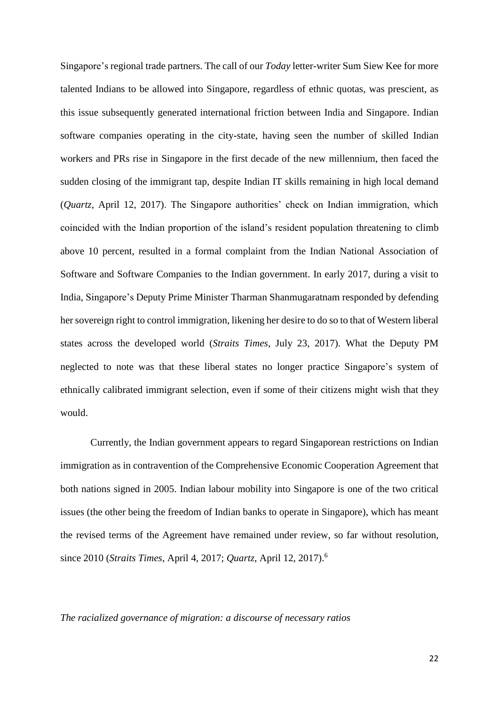Singapore's regional trade partners. The call of our *Today* letter-writer Sum Siew Kee for more talented Indians to be allowed into Singapore, regardless of ethnic quotas, was prescient, as this issue subsequently generated international friction between India and Singapore. Indian software companies operating in the city-state, having seen the number of skilled Indian workers and PRs rise in Singapore in the first decade of the new millennium, then faced the sudden closing of the immigrant tap, despite Indian IT skills remaining in high local demand (*Quartz*, April 12, 2017). The Singapore authorities' check on Indian immigration, which coincided with the Indian proportion of the island's resident population threatening to climb above 10 percent, resulted in a formal complaint from the Indian National Association of Software and Software Companies to the Indian government. In early 2017, during a visit to India, Singapore's Deputy Prime Minister Tharman Shanmugaratnam responded by defending her sovereign right to control immigration, likening her desire to do so to that of Western liberal states across the developed world (*Straits Times*, July 23, 2017). What the Deputy PM neglected to note was that these liberal states no longer practice Singapore's system of ethnically calibrated immigrant selection, even if some of their citizens might wish that they would.

Currently, the Indian government appears to regard Singaporean restrictions on Indian immigration as in contravention of the Comprehensive Economic Cooperation Agreement that both nations signed in 2005. Indian labour mobility into Singapore is one of the two critical issues (the other being the freedom of Indian banks to operate in Singapore), which has meant the revised terms of the Agreement have remained under review, so far without resolution, since 2010 (*Straits Times*, April 4, 2017; *Quartz*, April 12, 2017).<sup>6</sup>

#### *The racialized governance of migration: a discourse of necessary ratios*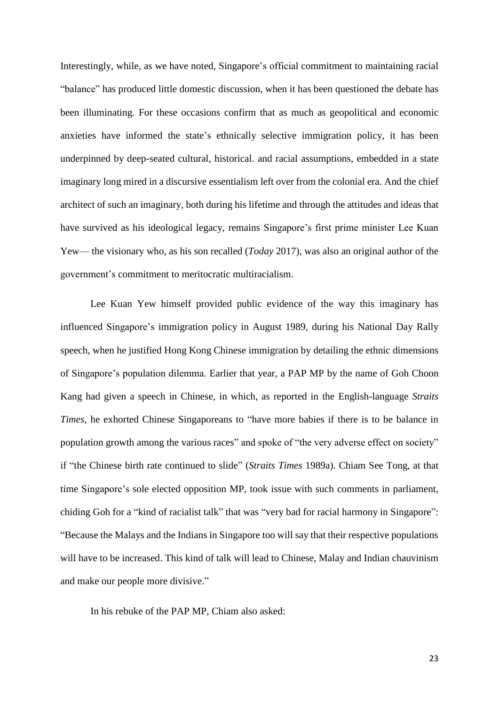Interestingly, while, as we have noted, Singapore's official commitment to maintaining racial "balance" has produced little domestic discussion, when it has been questioned the debate has been illuminating. For these occasions confirm that as much as geopolitical and economic anxieties have informed the state's ethnically selective immigration policy, it has been underpinned by deep-seated cultural, historical. and racial assumptions, embedded in a state imaginary long mired in a discursive essentialism left over from the colonial era. And the chief architect of such an imaginary, both during his lifetime and through the attitudes and ideas that have survived as his ideological legacy, remains Singapore's first prime minister Lee Kuan Yew— the visionary who, as his son recalled (*Today* 2017), was also an original author of the government's commitment to meritocratic multiracialism.

Lee Kuan Yew himself provided public evidence of the way this imaginary has influenced Singapore's immigration policy in August 1989, during his National Day Rally speech, when he justified Hong Kong Chinese immigration by detailing the ethnic dimensions of Singapore's population dilemma. Earlier that year, a PAP MP by the name of Goh Choon Kang had given a speech in Chinese, in which, as reported in the English-language *Straits Times*, he exhorted Chinese Singaporeans to "have more babies if there is to be balance in population growth among the various races" and spoke of "the very adverse effect on society" if "the Chinese birth rate continued to slide" (*Straits Times* 1989a). Chiam See Tong, at that time Singapore's sole elected opposition MP, took issue with such comments in parliament, chiding Goh for a "kind of racialist talk" that was "very bad for racial harmony in Singapore": "Because the Malays and the Indians in Singapore too will say that their respective populations will have to be increased. This kind of talk will lead to Chinese, Malay and Indian chauvinism and make our people more divisive."

In his rebuke of the PAP MP, Chiam also asked: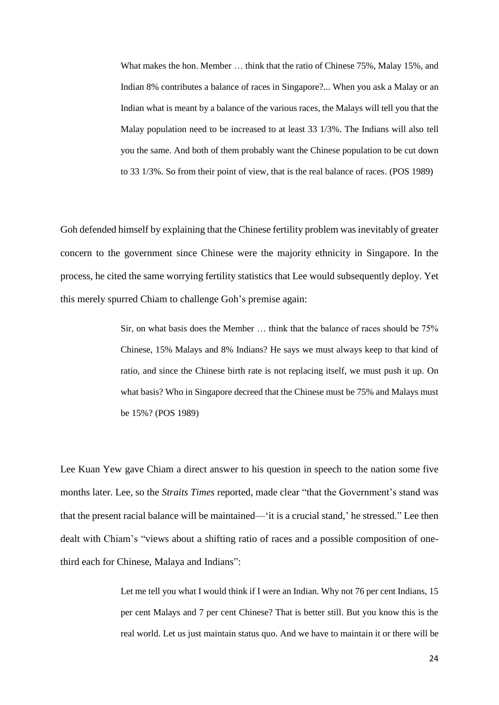What makes the hon. Member … think that the ratio of Chinese 75%, Malay 15%, and Indian 8% contributes a balance of races in Singapore?... When you ask a Malay or an Indian what is meant by a balance of the various races, the Malays will tell you that the Malay population need to be increased to at least 33 1/3%. The Indians will also tell you the same. And both of them probably want the Chinese population to be cut down to 33 1/3%. So from their point of view, that is the real balance of races. (POS 1989)

Goh defended himself by explaining that the Chinese fertility problem was inevitably of greater concern to the government since Chinese were the majority ethnicity in Singapore. In the process, he cited the same worrying fertility statistics that Lee would subsequently deploy. Yet this merely spurred Chiam to challenge Goh's premise again:

> Sir, on what basis does the Member … think that the balance of races should be 75% Chinese, 15% Malays and 8% Indians? He says we must always keep to that kind of ratio, and since the Chinese birth rate is not replacing itself, we must push it up. On what basis? Who in Singapore decreed that the Chinese must be 75% and Malays must be 15%? (POS 1989)

Lee Kuan Yew gave Chiam a direct answer to his question in speech to the nation some five months later. Lee, so the *Straits Times* reported, made clear "that the Government's stand was that the present racial balance will be maintained—'it is a crucial stand,' he stressed." Lee then dealt with Chiam's "views about a shifting ratio of races and a possible composition of onethird each for Chinese, Malaya and Indians":

> Let me tell you what I would think if I were an Indian. Why not 76 per cent Indians, 15 per cent Malays and 7 per cent Chinese? That is better still. But you know this is the real world. Let us just maintain status quo. And we have to maintain it or there will be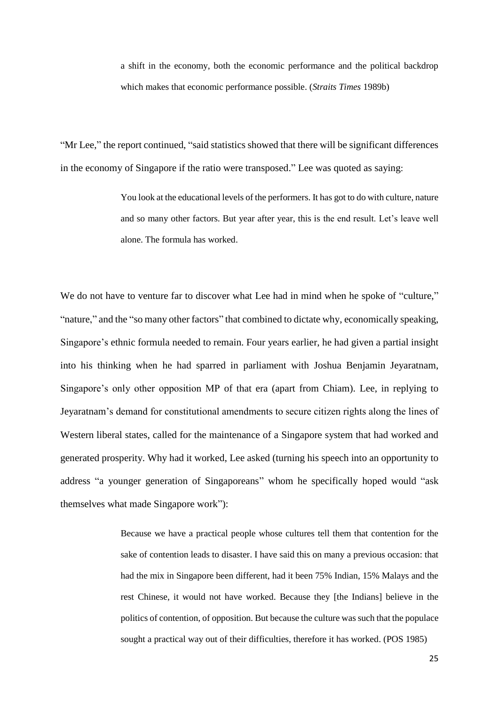a shift in the economy, both the economic performance and the political backdrop which makes that economic performance possible. (*Straits Times* 1989b)

"Mr Lee," the report continued, "said statistics showed that there will be significant differences in the economy of Singapore if the ratio were transposed." Lee was quoted as saying:

> You look at the educational levels of the performers. It has got to do with culture, nature and so many other factors. But year after year, this is the end result. Let's leave well alone. The formula has worked.

We do not have to venture far to discover what Lee had in mind when he spoke of "culture," "nature," and the "so many other factors" that combined to dictate why, economically speaking, Singapore's ethnic formula needed to remain. Four years earlier, he had given a partial insight into his thinking when he had sparred in parliament with Joshua Benjamin Jeyaratnam, Singapore's only other opposition MP of that era (apart from Chiam). Lee, in replying to Jeyaratnam's demand for constitutional amendments to secure citizen rights along the lines of Western liberal states, called for the maintenance of a Singapore system that had worked and generated prosperity. Why had it worked, Lee asked (turning his speech into an opportunity to address "a younger generation of Singaporeans" whom he specifically hoped would "ask themselves what made Singapore work"):

> Because we have a practical people whose cultures tell them that contention for the sake of contention leads to disaster. I have said this on many a previous occasion: that had the mix in Singapore been different, had it been 75% Indian, 15% Malays and the rest Chinese, it would not have worked. Because they [the Indians] believe in the politics of contention, of opposition. But because the culture was such that the populace sought a practical way out of their difficulties, therefore it has worked. (POS 1985)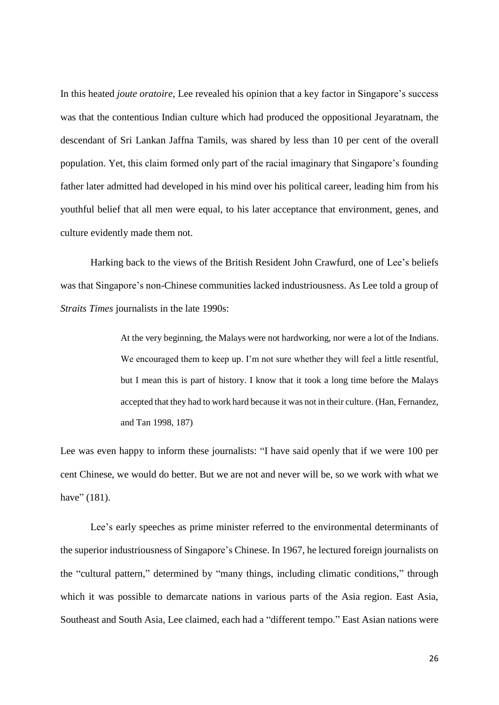In this heated *joute oratoire*, Lee revealed his opinion that a key factor in Singapore's success was that the contentious Indian culture which had produced the oppositional Jeyaratnam, the descendant of Sri Lankan Jaffna Tamils, was shared by less than 10 per cent of the overall population. Yet, this claim formed only part of the racial imaginary that Singapore's founding father later admitted had developed in his mind over his political career, leading him from his youthful belief that all men were equal, to his later acceptance that environment, genes, and culture evidently made them not.

Harking back to the views of the British Resident John Crawfurd, one of Lee's beliefs was that Singapore's non-Chinese communities lacked industriousness. As Lee told a group of *Straits Times* journalists in the late 1990s:

> At the very beginning, the Malays were not hardworking, nor were a lot of the Indians. We encouraged them to keep up. I'm not sure whether they will feel a little resentful, but I mean this is part of history. I know that it took a long time before the Malays accepted that they had to work hard because it was not in their culture. (Han, Fernandez, and Tan 1998, 187)

Lee was even happy to inform these journalists: "I have said openly that if we were 100 per cent Chinese, we would do better. But we are not and never will be, so we work with what we have" (181).

Lee's early speeches as prime minister referred to the environmental determinants of the superior industriousness of Singapore's Chinese. In 1967, he lectured foreign journalists on the "cultural pattern," determined by "many things, including climatic conditions," through which it was possible to demarcate nations in various parts of the Asia region. East Asia, Southeast and South Asia, Lee claimed, each had a "different tempo." East Asian nations were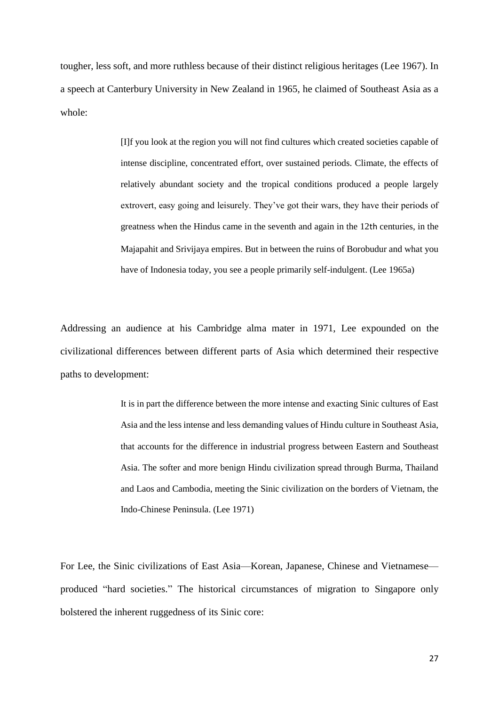tougher, less soft, and more ruthless because of their distinct religious heritages (Lee 1967). In a speech at Canterbury University in New Zealand in 1965, he claimed of Southeast Asia as a whole:

> [I]f you look at the region you will not find cultures which created societies capable of intense discipline, concentrated effort, over sustained periods. Climate, the effects of relatively abundant society and the tropical conditions produced a people largely extrovert, easy going and leisurely. They've got their wars, they have their periods of greatness when the Hindus came in the seventh and again in the 12th centuries, in the Majapahit and Srivijaya empires. But in between the ruins of Borobudur and what you have of Indonesia today, you see a people primarily self-indulgent. (Lee 1965a)

Addressing an audience at his Cambridge alma mater in 1971, Lee expounded on the civilizational differences between different parts of Asia which determined their respective paths to development:

> It is in part the difference between the more intense and exacting Sinic cultures of East Asia and the less intense and less demanding values of Hindu culture in Southeast Asia, that accounts for the difference in industrial progress between Eastern and Southeast Asia. The softer and more benign Hindu civilization spread through Burma, Thailand and Laos and Cambodia, meeting the Sinic civilization on the borders of Vietnam, the Indo-Chinese Peninsula. (Lee 1971)

For Lee, the Sinic civilizations of East Asia—Korean, Japanese, Chinese and Vietnamese produced "hard societies." The historical circumstances of migration to Singapore only bolstered the inherent ruggedness of its Sinic core: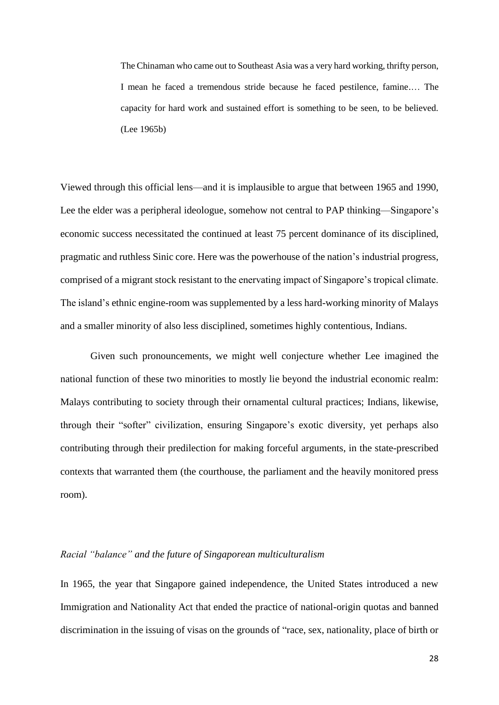The Chinaman who came out to Southeast Asia was a very hard working, thrifty person, I mean he faced a tremendous stride because he faced pestilence, famine.… The capacity for hard work and sustained effort is something to be seen, to be believed. (Lee 1965b)

Viewed through this official lens—and it is implausible to argue that between 1965 and 1990, Lee the elder was a peripheral ideologue, somehow not central to PAP thinking—Singapore's economic success necessitated the continued at least 75 percent dominance of its disciplined, pragmatic and ruthless Sinic core. Here was the powerhouse of the nation's industrial progress, comprised of a migrant stock resistant to the enervating impact of Singapore's tropical climate. The island's ethnic engine-room was supplemented by a less hard-working minority of Malays and a smaller minority of also less disciplined, sometimes highly contentious, Indians.

Given such pronouncements, we might well conjecture whether Lee imagined the national function of these two minorities to mostly lie beyond the industrial economic realm: Malays contributing to society through their ornamental cultural practices; Indians, likewise, through their "softer" civilization, ensuring Singapore's exotic diversity, yet perhaps also contributing through their predilection for making forceful arguments, in the state-prescribed contexts that warranted them (the courthouse, the parliament and the heavily monitored press room).

#### *Racial "balance" and the future of Singaporean multiculturalism*

In 1965, the year that Singapore gained independence, the United States introduced a new Immigration and Nationality Act that ended the practice of national-origin quotas and banned discrimination in the issuing of visas on the grounds of "race, sex, nationality, place of birth or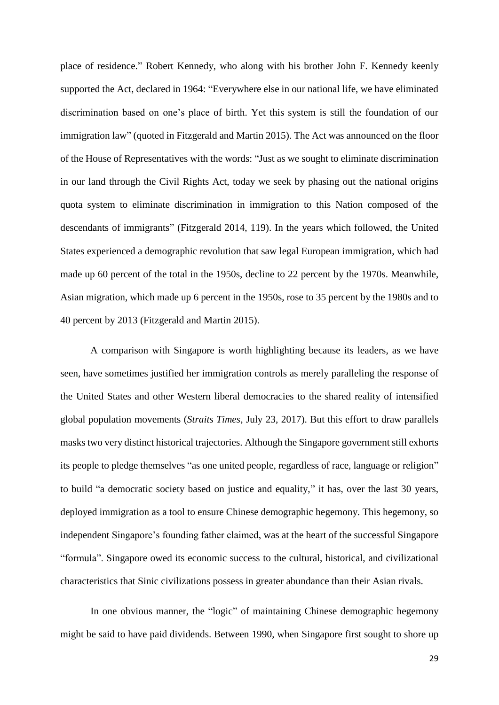place of residence." Robert Kennedy, who along with his brother John F. Kennedy keenly supported the Act, declared in 1964: "Everywhere else in our national life, we have eliminated discrimination based on one's place of birth. Yet this system is still the foundation of our immigration law" (quoted in Fitzgerald and Martin 2015). The Act was announced on the floor of the House of Representatives with the words: "Just as we sought to eliminate discrimination in our land through the Civil Rights Act, today we seek by phasing out the national origins quota system to eliminate discrimination in immigration to this Nation composed of the descendants of immigrants" (Fitzgerald 2014, 119). In the years which followed, the United States experienced a demographic revolution that saw legal European immigration, which had made up 60 percent of the total in the 1950s, decline to 22 percent by the 1970s. Meanwhile, Asian migration, which made up 6 percent in the 1950s, rose to 35 percent by the 1980s and to 40 percent by 2013 (Fitzgerald and Martin 2015).

A comparison with Singapore is worth highlighting because its leaders, as we have seen, have sometimes justified her immigration controls as merely paralleling the response of the United States and other Western liberal democracies to the shared reality of intensified global population movements (*Straits Times*, July 23, 2017). But this effort to draw parallels masks two very distinct historical trajectories. Although the Singapore government still exhorts its people to pledge themselves "as one united people, regardless of race, language or religion" to build "a democratic society based on justice and equality," it has, over the last 30 years, deployed immigration as a tool to ensure Chinese demographic hegemony. This hegemony, so independent Singapore's founding father claimed, was at the heart of the successful Singapore "formula". Singapore owed its economic success to the cultural, historical, and civilizational characteristics that Sinic civilizations possess in greater abundance than their Asian rivals.

In one obvious manner, the "logic" of maintaining Chinese demographic hegemony might be said to have paid dividends. Between 1990, when Singapore first sought to shore up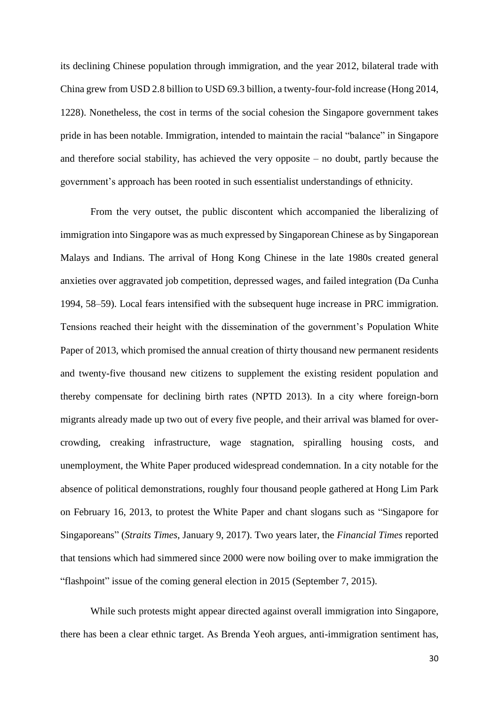its declining Chinese population through immigration, and the year 2012, bilateral trade with China grew from USD 2.8 billion to USD 69.3 billion, a twenty-four-fold increase (Hong 2014, 1228). Nonetheless, the cost in terms of the social cohesion the Singapore government takes pride in has been notable. Immigration, intended to maintain the racial "balance" in Singapore and therefore social stability, has achieved the very opposite – no doubt, partly because the government's approach has been rooted in such essentialist understandings of ethnicity.

From the very outset, the public discontent which accompanied the liberalizing of immigration into Singapore was as much expressed by Singaporean Chinese as by Singaporean Malays and Indians. The arrival of Hong Kong Chinese in the late 1980s created general anxieties over aggravated job competition, depressed wages, and failed integration (Da Cunha 1994, 58–59). Local fears intensified with the subsequent huge increase in PRC immigration. Tensions reached their height with the dissemination of the government's Population White Paper of 2013, which promised the annual creation of thirty thousand new permanent residents and twenty-five thousand new citizens to supplement the existing resident population and thereby compensate for declining birth rates (NPTD 2013). In a city where foreign-born migrants already made up two out of every five people, and their arrival was blamed for overcrowding, creaking infrastructure, wage stagnation, spiralling housing costs, and unemployment, the White Paper produced widespread condemnation. In a city notable for the absence of political demonstrations, roughly four thousand people gathered at Hong Lim Park on February 16, 2013, to protest the White Paper and chant slogans such as "Singapore for Singaporeans" (*Straits Times*, January 9, 2017). Two years later, the *Financial Times* reported that tensions which had simmered since 2000 were now boiling over to make immigration the "flashpoint" issue of the coming general election in 2015 (September 7, 2015).

While such protests might appear directed against overall immigration into Singapore, there has been a clear ethnic target. As Brenda Yeoh argues, anti-immigration sentiment has,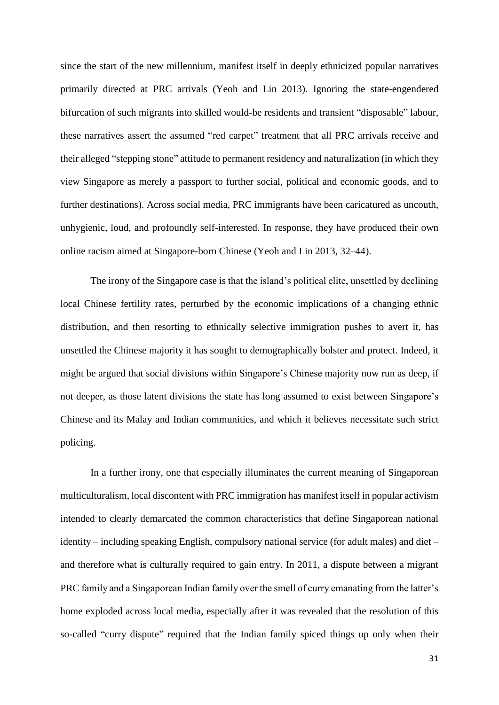since the start of the new millennium, manifest itself in deeply ethnicized popular narratives primarily directed at PRC arrivals (Yeoh and Lin 2013). Ignoring the state-engendered bifurcation of such migrants into skilled would-be residents and transient "disposable" labour, these narratives assert the assumed "red carpet" treatment that all PRC arrivals receive and their alleged "stepping stone" attitude to permanent residency and naturalization (in which they view Singapore as merely a passport to further social, political and economic goods, and to further destinations). Across social media, PRC immigrants have been caricatured as uncouth, unhygienic, loud, and profoundly self-interested. In response, they have produced their own online racism aimed at Singapore-born Chinese (Yeoh and Lin 2013, 32–44).

The irony of the Singapore case is that the island's political elite, unsettled by declining local Chinese fertility rates, perturbed by the economic implications of a changing ethnic distribution, and then resorting to ethnically selective immigration pushes to avert it, has unsettled the Chinese majority it has sought to demographically bolster and protect. Indeed, it might be argued that social divisions within Singapore's Chinese majority now run as deep, if not deeper, as those latent divisions the state has long assumed to exist between Singapore's Chinese and its Malay and Indian communities, and which it believes necessitate such strict policing.

In a further irony, one that especially illuminates the current meaning of Singaporean multiculturalism, local discontent with PRC immigration has manifest itself in popular activism intended to clearly demarcated the common characteristics that define Singaporean national identity – including speaking English, compulsory national service (for adult males) and diet – and therefore what is culturally required to gain entry. In 2011, a dispute between a migrant PRC family and a Singaporean Indian family over the smell of curry emanating from the latter's home exploded across local media, especially after it was revealed that the resolution of this so-called "curry dispute" required that the Indian family spiced things up only when their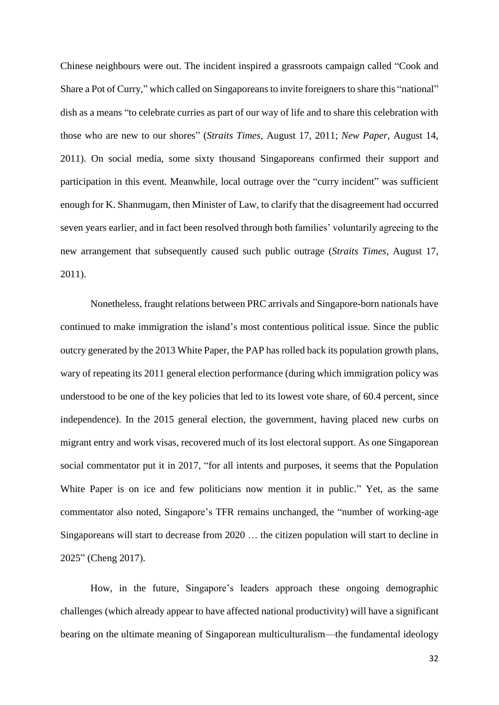Chinese neighbours were out. The incident inspired a grassroots campaign called "Cook and Share a Pot of Curry," which called on Singaporeans to invite foreigners to share this "national" dish as a means "to celebrate curries as part of our way of life and to share this celebration with those who are new to our shores" (*Straits Times*, August 17, 2011; *New Paper*, August 14, 2011). On social media, some sixty thousand Singaporeans confirmed their support and participation in this event. Meanwhile, local outrage over the "curry incident" was sufficient enough for K. Shanmugam, then Minister of Law, to clarify that the disagreement had occurred seven years earlier, and in fact been resolved through both families' voluntarily agreeing to the new arrangement that subsequently caused such public outrage (*Straits Times*, August 17, 2011).

Nonetheless, fraught relations between PRC arrivals and Singapore-born nationals have continued to make immigration the island's most contentious political issue. Since the public outcry generated by the 2013 White Paper, the PAP has rolled back its population growth plans, wary of repeating its 2011 general election performance (during which immigration policy was understood to be one of the key policies that led to its lowest vote share, of 60.4 percent, since independence). In the 2015 general election, the government, having placed new curbs on migrant entry and work visas, recovered much of its lost electoral support. As one Singaporean social commentator put it in 2017, "for all intents and purposes, it seems that the Population White Paper is on ice and few politicians now mention it in public." Yet, as the same commentator also noted, Singapore's TFR remains unchanged, the "number of working-age Singaporeans will start to decrease from 2020 … the citizen population will start to decline in 2025" (Cheng 2017).

How, in the future, Singapore's leaders approach these ongoing demographic challenges (which already appear to have affected national productivity) will have a significant bearing on the ultimate meaning of Singaporean multiculturalism—the fundamental ideology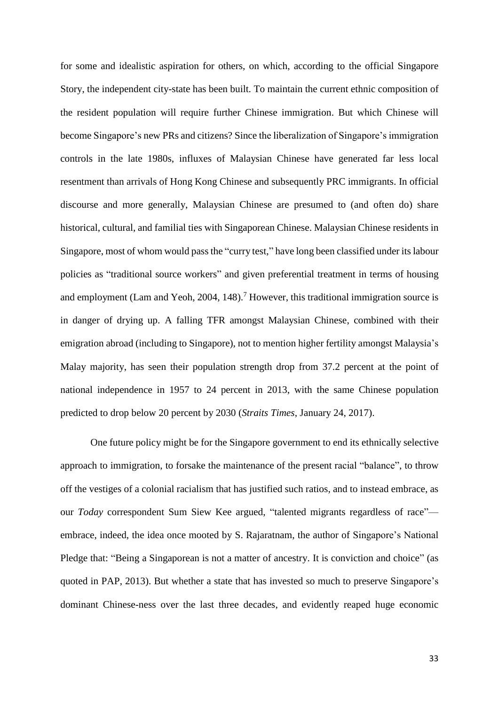for some and idealistic aspiration for others, on which, according to the official Singapore Story, the independent city-state has been built. To maintain the current ethnic composition of the resident population will require further Chinese immigration. But which Chinese will become Singapore's new PRs and citizens? Since the liberalization of Singapore's immigration controls in the late 1980s, influxes of Malaysian Chinese have generated far less local resentment than arrivals of Hong Kong Chinese and subsequently PRC immigrants. In official discourse and more generally, Malaysian Chinese are presumed to (and often do) share historical, cultural, and familial ties with Singaporean Chinese. Malaysian Chinese residents in Singapore, most of whom would pass the "curry test," have long been classified under itslabour policies as "traditional source workers" and given preferential treatment in terms of housing and employment (Lam and Yeoh, 2004, 148).<sup>7</sup> However, this traditional immigration source is in danger of drying up. A falling TFR amongst Malaysian Chinese, combined with their emigration abroad (including to Singapore), not to mention higher fertility amongst Malaysia's Malay majority, has seen their population strength drop from 37.2 percent at the point of national independence in 1957 to 24 percent in 2013, with the same Chinese population predicted to drop below 20 percent by 2030 (*Straits Times*, January 24, 2017).

One future policy might be for the Singapore government to end its ethnically selective approach to immigration, to forsake the maintenance of the present racial "balance", to throw off the vestiges of a colonial racialism that has justified such ratios, and to instead embrace, as our *Today* correspondent Sum Siew Kee argued, "talented migrants regardless of race" embrace, indeed, the idea once mooted by S. Rajaratnam, the author of Singapore's National Pledge that: "Being a Singaporean is not a matter of ancestry. It is conviction and choice" (as quoted in PAP, 2013). But whether a state that has invested so much to preserve Singapore's dominant Chinese-ness over the last three decades, and evidently reaped huge economic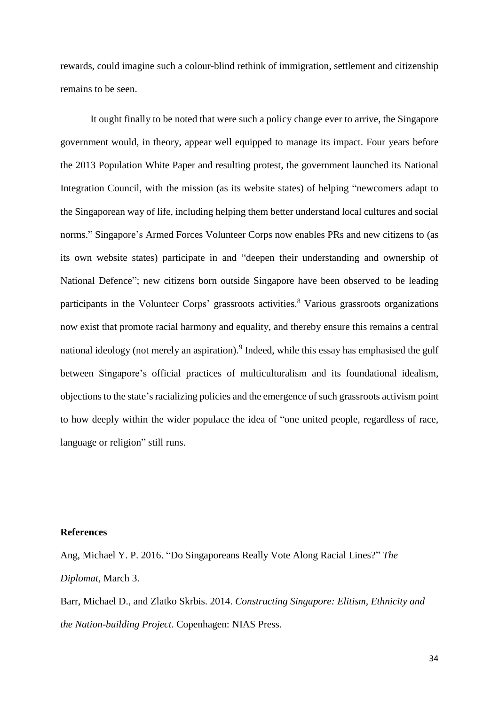rewards, could imagine such a colour-blind rethink of immigration, settlement and citizenship remains to be seen.

It ought finally to be noted that were such a policy change ever to arrive, the Singapore government would, in theory, appear well equipped to manage its impact. Four years before the 2013 Population White Paper and resulting protest, the government launched its National Integration Council, with the mission (as its website states) of helping "newcomers adapt to the Singaporean way of life, including helping them better understand local cultures and social norms." Singapore's Armed Forces Volunteer Corps now enables PRs and new citizens to (as its own website states) participate in and "deepen their understanding and ownership of National Defence"; new citizens born outside Singapore have been observed to be leading participants in the Volunteer Corps' grassroots activities.<sup>8</sup> Various grassroots organizations now exist that promote racial harmony and equality, and thereby ensure this remains a central national ideology (not merely an aspiration).<sup>9</sup> Indeed, while this essay has emphasised the gulf between Singapore's official practices of multiculturalism and its foundational idealism, objections to the state'sracializing policies and the emergence of such grassroots activism point to how deeply within the wider populace the idea of "one united people, regardless of race, language or religion" still runs.

# **References**

Ang, Michael Y. P. 2016. "Do Singaporeans Really Vote Along Racial Lines?" *The Diplomat,* March 3.

Barr, Michael D., and Zlatko Skrbis. 2014. *Constructing Singapore: Elitism, Ethnicity and the Nation-building Project*. Copenhagen: NIAS Press.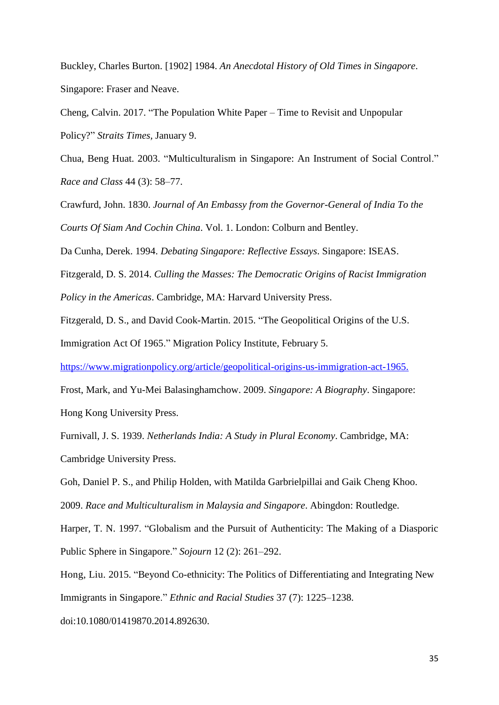Buckley, Charles Burton. [1902] 1984. *An Anecdotal History of Old Times in Singapore*. Singapore: Fraser and Neave.

Cheng, Calvin. 2017. "The Population White Paper – Time to Revisit and Unpopular Policy?" *Straits Times,* January 9.

Chua, Beng Huat. 2003. "Multiculturalism in Singapore: An Instrument of Social Control." *Race and Class* 44 (3): 58–77.

Crawfurd, John. 1830. *Journal of An Embassy from the Governor-General of India To the Courts Of Siam And Cochin China*. Vol. 1. London: Colburn and Bentley.

Da Cunha, Derek. 1994. *Debating Singapore: Reflective Essays*. Singapore: ISEAS.

Fitzgerald, D. S. 2014. *Culling the Masses: The Democratic Origins of Racist Immigration Policy in the Americas*. Cambridge, MA: Harvard University Press.

Fitzgerald, D. S., and David Cook-Martin. 2015. "The Geopolitical Origins of the U.S.

Immigration Act Of 1965." Migration Policy Institute, February 5.

[https://www.migrationpolicy.org/article/geopolitical-origins-us-immigration-act-1965.](https://www.migrationpolicy.org/article/geopolitical-origins-us-immigration-act-1965)

Frost, Mark, and Yu-Mei Balasinghamchow. 2009. *Singapore: A Biography*. Singapore: Hong Kong University Press.

Furnivall, J. S. 1939. *Netherlands India: A Study in Plural Economy*. Cambridge, MA: Cambridge University Press.

Goh, Daniel P. S., and Philip Holden, with Matilda Garbrielpillai and Gaik Cheng Khoo. 2009. *Race and Multiculturalism in Malaysia and Singapore*. Abingdon: Routledge.

Harper, T. N. 1997. "Globalism and the Pursuit of Authenticity: The Making of a Diasporic Public Sphere in Singapore." *Sojourn* 12 (2): 261–292.

Hong, Liu. 2015. "Beyond Co-ethnicity: The Politics of Differentiating and Integrating New Immigrants in Singapore." *Ethnic and Racial Studies* 37 (7): 1225–1238.

doi:10.1080/01419870.2014.892630.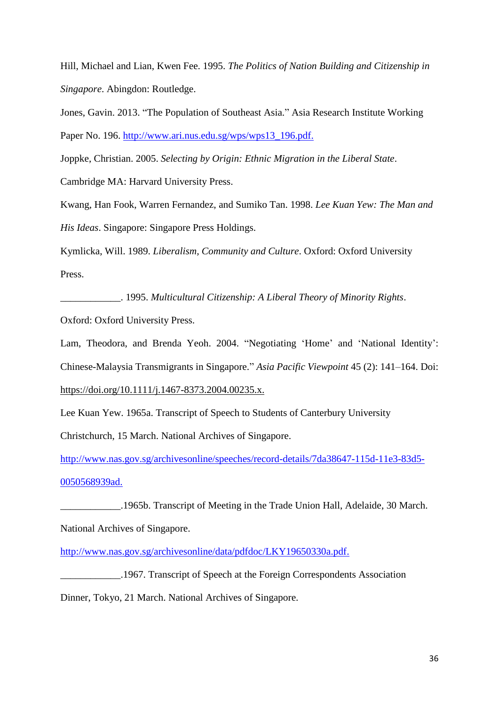Hill, Michael and Lian, Kwen Fee. 1995. *The Politics of Nation Building and Citizenship in Singapore*. Abingdon: Routledge.

Jones, Gavin. 2013. "The Population of Southeast Asia." Asia Research Institute Working Paper No. 196. [http://www.ari.nus.edu.sg/wps/wps13\\_196.pdf.](http://www.ari.nus.edu.sg/wps/wps13_196.pdf)

Joppke, Christian. 2005. *Selecting by Origin: Ethnic Migration in the Liberal State*.

Cambridge MA: Harvard University Press.

Kwang, Han Fook, Warren Fernandez, and Sumiko Tan. 1998. *Lee Kuan Yew: The Man and His Ideas*. Singapore: Singapore Press Holdings.

Kymlicka, Will. 1989. *Liberalism, Community and Culture*. Oxford: Oxford University Press.

\_\_\_\_\_\_\_\_\_\_\_\_. 1995. *Multicultural Citizenship: A Liberal Theory of Minority Rights*. Oxford: Oxford University Press.

Lam, Theodora, and Brenda Yeoh. 2004. "Negotiating 'Home' and 'National Identity': Chinese-Malaysia Transmigrants in Singapore." *Asia Pacific Viewpoint* 45 (2): 141–164. Doi: [https://doi.org/10.1111/j.1467-8373.2004.00235.x.](https://doi.org/10.1111/j.1467-8373.2004.00235.x)

Lee Kuan Yew. 1965a. Transcript of Speech to Students of Canterbury University

Christchurch, 15 March. National Archives of Singapore.

[http://www.nas.gov.sg/archivesonline/speeches/record-details/7da38647-115d-11e3-83d5-](http://www.nas.gov.sg/archivesonline/speeches/record-details/7da38647-115d-11e3-83d5-0050568939ad) [0050568939ad.](http://www.nas.gov.sg/archivesonline/speeches/record-details/7da38647-115d-11e3-83d5-0050568939ad)

\_\_\_\_\_\_\_\_\_\_\_\_.1965b. Transcript of Meeting in the Trade Union Hall, Adelaide, 30 March.

National Archives of Singapore.

[http://www.nas.gov.sg/archivesonline/data/pdfdoc/LKY19650330a.pdf.](http://www.nas.gov.sg/archivesonline/data/pdfdoc/LKY19650330a.pdf)

\_\_\_\_\_\_\_\_\_\_\_\_.1967. Transcript of Speech at the Foreign Correspondents Association

Dinner, Tokyo, 21 March. National Archives of Singapore.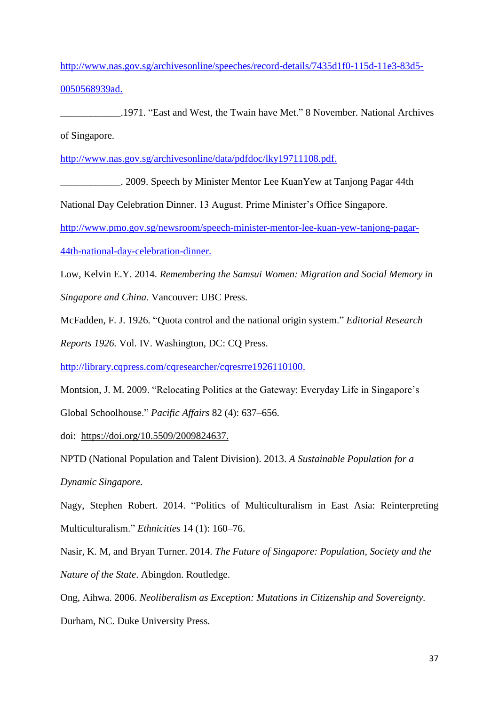[http://www.nas.gov.sg/archivesonline/speeches/record-details/7435d1f0-115d-11e3-83d5-](http://www.nas.gov.sg/archivesonline/speeches/record-details/7435d1f0-115d-11e3-83d5-0050568939ad) [0050568939ad.](http://www.nas.gov.sg/archivesonline/speeches/record-details/7435d1f0-115d-11e3-83d5-0050568939ad)

\_\_\_\_\_\_\_\_\_\_\_\_.1971. "East and West, the Twain have Met." 8 November. National Archives of Singapore.

[http://www.nas.gov.sg/archivesonline/data/pdfdoc/lky19711108.pdf.](http://www.nas.gov.sg/archivesonline/data/pdfdoc/lky19711108.pdf)

\_\_\_\_\_\_\_\_\_\_\_\_. 2009. Speech by Minister Mentor Lee KuanYew at Tanjong Pagar 44th

National Day Celebration Dinner. 13 August. Prime Minister's Office Singapore.

[http://www.pmo.gov.sg/newsroom/speech-minister-mentor-lee-kuan-yew-tanjong-pagar-](http://www.pmo.gov.sg/newsroom/speech-minister-mentor-lee-kuan-yew-tanjong-pagar-44th-national-day-celebration-dinner)

[44th-national-day-celebration-dinner.](http://www.pmo.gov.sg/newsroom/speech-minister-mentor-lee-kuan-yew-tanjong-pagar-44th-national-day-celebration-dinner)

Low, Kelvin E.Y. 2014. *Remembering the Samsui Women: Migration and Social Memory in* 

*Singapore and China.* Vancouver: UBC Press.

McFadden, F. J. 1926. "Quota control and the national origin system." *Editorial Research* 

*Reports 1926.* Vol. IV. Washington, DC: CQ Press.

[http://library.cqpress.com/cqresearcher/cqresrre1926110100.](http://library.cqpress.com/cqresearcher/cqresrre1926110100)

Montsion, J. M. 2009. "Relocating Politics at the Gateway: Everyday Life in Singapore's Global Schoolhouse." *Pacific Affairs* 82 (4): 637–656.

doi: [https://doi.org/10.5509/2009824637.](https://doi.org/10.5509/2009824637)

NPTD (National Population and Talent Division). 2013. *A Sustainable Population for a Dynamic Singapore.*

Nagy, Stephen Robert. 2014. "Politics of Multiculturalism in East Asia: Reinterpreting Multiculturalism." *Ethnicities* 14 (1): 160–76.

Nasir, K. M, and Bryan Turner. 2014. *The Future of Singapore: Population, Society and the Nature of the State*. Abingdon. Routledge.

Ong, Aihwa. 2006. *Neoliberalism as Exception: Mutations in Citizenship and Sovereignty.* Durham, NC. Duke University Press.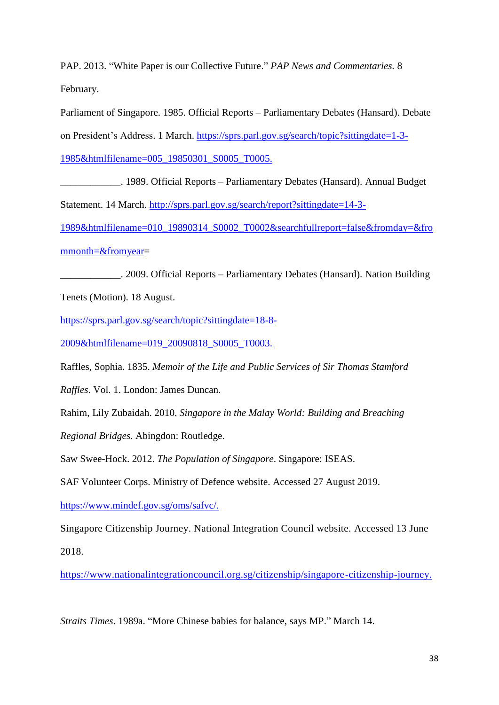PAP. 2013. "White Paper is our Collective Future." *PAP News and Commentaries.* 8 February.

Parliament of Singapore. 1985. Official Reports – Parliamentary Debates (Hansard). Debate on President's Address. 1 March. [https://sprs.parl.gov.sg/search/topic?sittingdate=1-3-](https://sprs.parl.gov.sg/search/topic?sittingdate=1-3-1985&htmlfilename=005_19850301_S0005_T0005) [1985&htmlfilename=005\\_19850301\\_S0005\\_T0005.](https://sprs.parl.gov.sg/search/topic?sittingdate=1-3-1985&htmlfilename=005_19850301_S0005_T0005)

1989. Official Reports – Parliamentary Debates (Hansard). Annual Budget Statement. 14 March. [http://sprs.parl.gov.sg/search/report?sittingdate=14-3-](http://sprs.parl.gov.sg/search/report?sittingdate=14-3-1989&htmlfilename=010_19890314_S0002_T0002&searchfullreport=false&fromday=&frommonth=&fromyear) [1989&htmlfilename=010\\_19890314\\_S0002\\_T0002&searchfullreport=false&fromday=&fro](http://sprs.parl.gov.sg/search/report?sittingdate=14-3-1989&htmlfilename=010_19890314_S0002_T0002&searchfullreport=false&fromday=&frommonth=&fromyear) [mmonth=&fromyear=](http://sprs.parl.gov.sg/search/report?sittingdate=14-3-1989&htmlfilename=010_19890314_S0002_T0002&searchfullreport=false&fromday=&frommonth=&fromyear)

\_\_\_\_\_\_\_\_\_\_\_\_. 2009. Official Reports – Parliamentary Debates (Hansard). Nation Building Tenets (Motion). 18 August.

[https://sprs.parl.gov.sg/search/topic?sittingdate=18-8-](https://sprs.parl.gov.sg/search/topic?sittingdate=18-8-2009&htmlfilename=019_20090818_S0005_T0003)

[2009&htmlfilename=019\\_20090818\\_S0005\\_T0003.](https://sprs.parl.gov.sg/search/topic?sittingdate=18-8-2009&htmlfilename=019_20090818_S0005_T0003)

Raffles, Sophia. 1835. *Memoir of the Life and Public Services of Sir Thomas Stamford* 

*Raffles*. Vol. 1. London: James Duncan.

Rahim, Lily Zubaidah. 2010. *Singapore in the Malay World: Building and Breaching* 

*Regional Bridges*. Abingdon: Routledge.

Saw Swee-Hock. 2012. *The Population of Singapore*. Singapore: ISEAS.

SAF Volunteer Corps. Ministry of Defence website. Accessed 27 August 2019.

[https://www.mindef.gov.sg/oms/safvc/.](https://www.mindef.gov.sg/oms/safvc/)

Singapore Citizenship Journey. National Integration Council website. Accessed 13 June 2018.

[https://www.nationalintegrationcouncil.org.sg/citizenship/singapore-citizenship-journey.](https://www.nationalintegrationcouncil.org.sg/citizenship/singapore-citizenship-journey)

*Straits Times*. 1989a. "More Chinese babies for balance, says MP." March 14.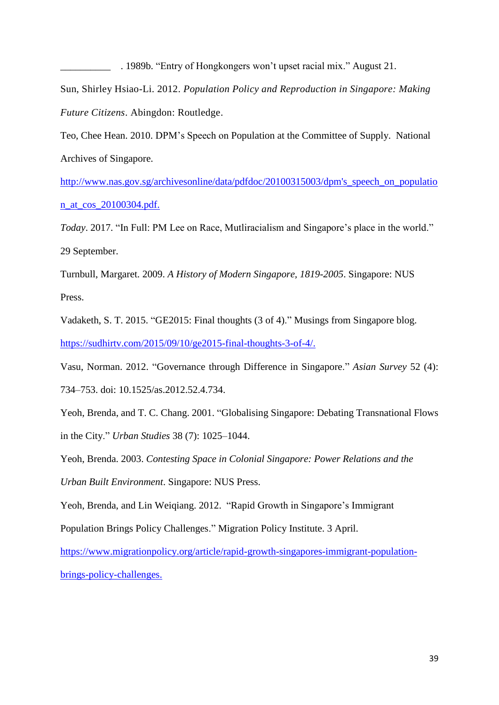Sun, Shirley Hsiao-Li. 2012. *Population Policy and Reproduction in Singapore: Making Future Citizens*. Abingdon: Routledge.

\_\_\_\_\_\_\_\_\_\_ . 1989b. "Entry of Hongkongers won't upset racial mix." August 21.

Teo, Chee Hean. 2010. DPM's Speech on Population at the Committee of Supply. National Archives of Singapore.

[http://www.nas.gov.sg/archivesonline/data/pdfdoc/20100315003/dpm's\\_speech\\_on\\_populatio](http://www.nas.gov.sg/archivesonline/data/pdfdoc/20100315003/dpm) [n\\_at\\_cos\\_20100304.pdf.](http://www.nas.gov.sg/archivesonline/data/pdfdoc/20100315003/dpm)

*Today*. 2017. "In Full: PM Lee on Race, Mutliracialism and Singapore's place in the world." 29 September.

Turnbull, Margaret. 2009. *A History of Modern Singapore, 1819-2005*. Singapore: NUS Press.

Vadaketh, S. T. 2015. "GE2015: Final thoughts (3 of 4)." Musings from Singapore blog. [https://sudhirtv.com/2015/09/10/ge2015-final-thoughts-3-of-4/.](https://sudhirtv.com/2015/09/10/ge2015-final-thoughts-3-of-4/)

Vasu, Norman. 2012. "Governance through Difference in Singapore." *Asian Survey* 52 (4): 734–753. doi: 10.1525/as.2012.52.4.734.

Yeoh, Brenda, and T. C. Chang. 2001. "Globalising Singapore: Debating Transnational Flows in the City." *Urban Studies* 38 (7): 1025–1044.

Yeoh, Brenda. 2003. *Contesting Space in Colonial Singapore: Power Relations and the Urban Built Environment*. Singapore: NUS Press.

Yeoh, Brenda, and Lin Weiqiang. 2012. "Rapid Growth in Singapore's Immigrant Population Brings Policy Challenges." Migration Policy Institute. 3 April.

[https://www.migrationpolicy.org/article/rapid-growth-singapores-immigrant-population](https://www.migrationpolicy.org/article/rapid-growth-singapores-immigrant-population-brings-policy-challenges)[brings-policy-challenges.](https://www.migrationpolicy.org/article/rapid-growth-singapores-immigrant-population-brings-policy-challenges)